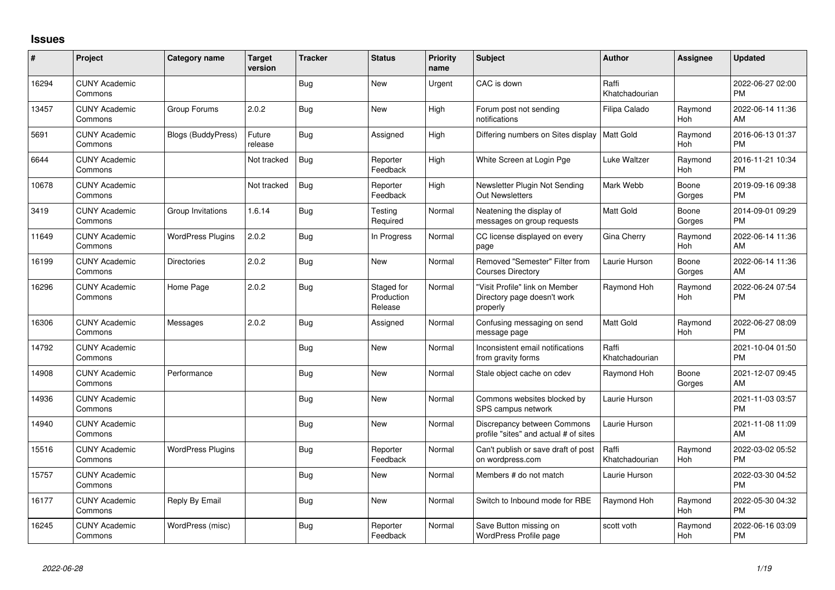## **Issues**

| #     | Project                         | <b>Category name</b>      | <b>Target</b><br>version | <b>Tracker</b> | <b>Status</b>                       | Priority<br>name | <b>Subject</b>                                                            | Author                  | <b>Assignee</b>       | <b>Updated</b>                |
|-------|---------------------------------|---------------------------|--------------------------|----------------|-------------------------------------|------------------|---------------------------------------------------------------------------|-------------------------|-----------------------|-------------------------------|
| 16294 | <b>CUNY Academic</b><br>Commons |                           |                          | <b>Bug</b>     | <b>New</b>                          | Urgent           | CAC is down                                                               | Raffi<br>Khatchadourian |                       | 2022-06-27 02:00<br><b>PM</b> |
| 13457 | <b>CUNY Academic</b><br>Commons | Group Forums              | 2.0.2                    | Bug            | <b>New</b>                          | High             | Forum post not sending<br>notifications                                   | Filipa Calado           | Raymond<br>Hoh        | 2022-06-14 11:36<br>AM        |
| 5691  | <b>CUNY Academic</b><br>Commons | <b>Blogs (BuddyPress)</b> | Future<br>release        | <b>Bug</b>     | Assigned                            | High             | Differing numbers on Sites display                                        | <b>Matt Gold</b>        | Raymond<br>Hoh        | 2016-06-13 01:37<br><b>PM</b> |
| 6644  | <b>CUNY Academic</b><br>Commons |                           | Not tracked              | Bug            | Reporter<br>Feedback                | High             | White Screen at Login Pge                                                 | Luke Waltzer            | Raymond<br>Hoh        | 2016-11-21 10:34<br><b>PM</b> |
| 10678 | <b>CUNY Academic</b><br>Commons |                           | Not tracked              | Bug            | Reporter<br>Feedback                | High             | Newsletter Plugin Not Sending<br><b>Out Newsletters</b>                   | Mark Webb               | Boone<br>Gorges       | 2019-09-16 09:38<br><b>PM</b> |
| 3419  | <b>CUNY Academic</b><br>Commons | Group Invitations         | 1.6.14                   | Bug            | Testing<br>Required                 | Normal           | Neatening the display of<br>messages on group requests                    | <b>Matt Gold</b>        | Boone<br>Gorges       | 2014-09-01 09:29<br>PM        |
| 11649 | <b>CUNY Academic</b><br>Commons | <b>WordPress Plugins</b>  | 2.0.2                    | Bug            | In Progress                         | Normal           | CC license displayed on every<br>page                                     | Gina Cherry             | Raymond<br>Hoh        | 2022-06-14 11:36<br>AM        |
| 16199 | <b>CUNY Academic</b><br>Commons | <b>Directories</b>        | 2.0.2                    | <b>Bug</b>     | New                                 | Normal           | Removed "Semester" Filter from<br><b>Courses Directory</b>                | Laurie Hurson           | Boone<br>Gorges       | 2022-06-14 11:36<br>AM        |
| 16296 | <b>CUNY Academic</b><br>Commons | Home Page                 | 2.0.2                    | Bug            | Staged for<br>Production<br>Release | Normal           | "Visit Profile" link on Member<br>Directory page doesn't work<br>properly | Raymond Hoh             | Raymond<br><b>Hoh</b> | 2022-06-24 07:54<br><b>PM</b> |
| 16306 | <b>CUNY Academic</b><br>Commons | Messages                  | 2.0.2                    | Bug            | Assigned                            | Normal           | Confusing messaging on send<br>message page                               | <b>Matt Gold</b>        | Raymond<br>Hoh        | 2022-06-27 08:09<br>PM        |
| 14792 | <b>CUNY Academic</b><br>Commons |                           |                          | Bug            | <b>New</b>                          | Normal           | Inconsistent email notifications<br>from gravity forms                    | Raffi<br>Khatchadourian |                       | 2021-10-04 01:50<br><b>PM</b> |
| 14908 | <b>CUNY Academic</b><br>Commons | Performance               |                          | <b>Bug</b>     | <b>New</b>                          | Normal           | Stale object cache on cdev                                                | Raymond Hoh             | Boone<br>Gorges       | 2021-12-07 09:45<br>AM        |
| 14936 | <b>CUNY Academic</b><br>Commons |                           |                          | <b>Bug</b>     | <b>New</b>                          | Normal           | Commons websites blocked by<br>SPS campus network                         | Laurie Hurson           |                       | 2021-11-03 03:57<br><b>PM</b> |
| 14940 | <b>CUNY Academic</b><br>Commons |                           |                          | Bug            | <b>New</b>                          | Normal           | Discrepancy between Commons<br>profile "sites" and actual # of sites      | Laurie Hurson           |                       | 2021-11-08 11:09<br>AM        |
| 15516 | <b>CUNY Academic</b><br>Commons | <b>WordPress Plugins</b>  |                          | Bug            | Reporter<br>Feedback                | Normal           | Can't publish or save draft of post<br>on wordpress.com                   | Raffi<br>Khatchadourian | Raymond<br>Hoh        | 2022-03-02 05:52<br><b>PM</b> |
| 15757 | <b>CUNY Academic</b><br>Commons |                           |                          | <b>Bug</b>     | <b>New</b>                          | Normal           | Members # do not match                                                    | Laurie Hurson           |                       | 2022-03-30 04:52<br><b>PM</b> |
| 16177 | <b>CUNY Academic</b><br>Commons | Reply By Email            |                          | <b>Bug</b>     | <b>New</b>                          | Normal           | Switch to Inbound mode for RBE                                            | Raymond Hoh             | Raymond<br>Hoh        | 2022-05-30 04:32<br><b>PM</b> |
| 16245 | <b>CUNY Academic</b><br>Commons | WordPress (misc)          |                          | Bug            | Reporter<br>Feedback                | Normal           | Save Button missing on<br>WordPress Profile page                          | scott voth              | Raymond<br>Hoh        | 2022-06-16 03:09<br>PM        |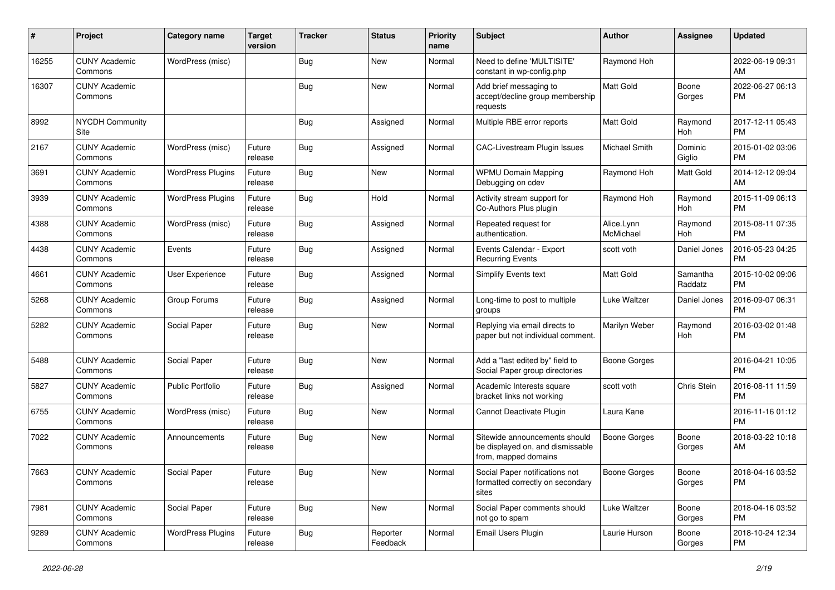| #     | Project                         | <b>Category name</b>     | <b>Target</b><br>version | <b>Tracker</b> | <b>Status</b>        | <b>Priority</b><br>name | <b>Subject</b>                                                                            | Author                  | <b>Assignee</b>       | <b>Updated</b>                |
|-------|---------------------------------|--------------------------|--------------------------|----------------|----------------------|-------------------------|-------------------------------------------------------------------------------------------|-------------------------|-----------------------|-------------------------------|
| 16255 | <b>CUNY Academic</b><br>Commons | WordPress (misc)         |                          | Bug            | New                  | Normal                  | Need to define 'MULTISITE'<br>constant in wp-config.php                                   | Raymond Hoh             |                       | 2022-06-19 09:31<br>AM        |
| 16307 | <b>CUNY Academic</b><br>Commons |                          |                          | <b>Bug</b>     | New                  | Normal                  | Add brief messaging to<br>accept/decline group membership<br>requests                     | Matt Gold               | Boone<br>Gorges       | 2022-06-27 06:13<br><b>PM</b> |
| 8992  | <b>NYCDH Community</b><br>Site  |                          |                          | <b>Bug</b>     | Assigned             | Normal                  | Multiple RBE error reports                                                                | Matt Gold               | Raymond<br>Hoh        | 2017-12-11 05:43<br><b>PM</b> |
| 2167  | <b>CUNY Academic</b><br>Commons | WordPress (misc)         | Future<br>release        | Bug            | Assigned             | Normal                  | CAC-Livestream Plugin Issues                                                              | Michael Smith           | Dominic<br>Giglio     | 2015-01-02 03:06<br><b>PM</b> |
| 3691  | <b>CUNY Academic</b><br>Commons | <b>WordPress Plugins</b> | Future<br>release        | Bug            | New                  | Normal                  | <b>WPMU Domain Mapping</b><br>Debugging on cdev                                           | Raymond Hoh             | <b>Matt Gold</b>      | 2014-12-12 09:04<br>AM        |
| 3939  | <b>CUNY Academic</b><br>Commons | <b>WordPress Plugins</b> | Future<br>release        | <b>Bug</b>     | Hold                 | Normal                  | Activity stream support for<br>Co-Authors Plus plugin                                     | Raymond Hoh             | Raymond<br><b>Hoh</b> | 2015-11-09 06:13<br><b>PM</b> |
| 4388  | <b>CUNY Academic</b><br>Commons | WordPress (misc)         | Future<br>release        | Bug            | Assigned             | Normal                  | Repeated request for<br>authentication.                                                   | Alice.Lynn<br>McMichael | Raymond<br>Hoh        | 2015-08-11 07:35<br>PМ        |
| 4438  | <b>CUNY Academic</b><br>Commons | Events                   | Future<br>release        | Bug            | Assigned             | Normal                  | Events Calendar - Export<br><b>Recurring Events</b>                                       | scott voth              | Daniel Jones          | 2016-05-23 04:25<br>РM        |
| 4661  | <b>CUNY Academic</b><br>Commons | User Experience          | Future<br>release        | Bug            | Assigned             | Normal                  | Simplify Events text                                                                      | <b>Matt Gold</b>        | Samantha<br>Raddatz   | 2015-10-02 09:06<br>РM        |
| 5268  | <b>CUNY Academic</b><br>Commons | Group Forums             | Future<br>release        | <b>Bug</b>     | Assigned             | Normal                  | Long-time to post to multiple<br>groups                                                   | Luke Waltzer            | Daniel Jones          | 2016-09-07 06:31<br>РM        |
| 5282  | <b>CUNY Academic</b><br>Commons | Social Paper             | Future<br>release        | Bug            | New                  | Normal                  | Replying via email directs to<br>paper but not individual comment.                        | Marilyn Weber           | Raymond<br>Hoh        | 2016-03-02 01:48<br><b>PM</b> |
| 5488  | <b>CUNY Academic</b><br>Commons | Social Paper             | Future<br>release        | Bug            | New                  | Normal                  | Add a "last edited by" field to<br>Social Paper group directories                         | <b>Boone Gorges</b>     |                       | 2016-04-21 10:05<br>РM        |
| 5827  | <b>CUNY Academic</b><br>Commons | <b>Public Portfolio</b>  | Future<br>release        | Bug            | Assigned             | Normal                  | Academic Interests square<br>bracket links not working                                    | scott voth              | Chris Stein           | 2016-08-11 11:59<br><b>PM</b> |
| 6755  | <b>CUNY Academic</b><br>Commons | WordPress (misc)         | Future<br>release        | Bug            | New                  | Normal                  | Cannot Deactivate Plugin                                                                  | Laura Kane              |                       | 2016-11-16 01:12<br><b>PM</b> |
| 7022  | <b>CUNY Academic</b><br>Commons | Announcements            | Future<br>release        | Bug            | New                  | Normal                  | Sitewide announcements should<br>be displayed on, and dismissable<br>from, mapped domains | <b>Boone Gorges</b>     | Boone<br>Gorges       | 2018-03-22 10:18<br>AM        |
| 7663  | <b>CUNY Academic</b><br>Commons | Social Paper             | Future<br>release        | Bug            | New                  | Normal                  | Social Paper notifications not<br>formatted correctly on secondary<br>sites               | Boone Gorges            | Boone<br>Gorges       | 2018-04-16 03:52<br><b>PM</b> |
| 7981  | <b>CUNY Academic</b><br>Commons | Social Paper             | Future<br>release        | Bug            | New                  | Normal                  | Social Paper comments should<br>not go to spam                                            | Luke Waltzer            | Boone<br>Gorges       | 2018-04-16 03:52<br><b>PM</b> |
| 9289  | <b>CUNY Academic</b><br>Commons | <b>WordPress Plugins</b> | Future<br>release        | <b>Bug</b>     | Reporter<br>Feedback | Normal                  | Email Users Plugin                                                                        | Laurie Hurson           | Boone<br>Gorges       | 2018-10-24 12:34<br><b>PM</b> |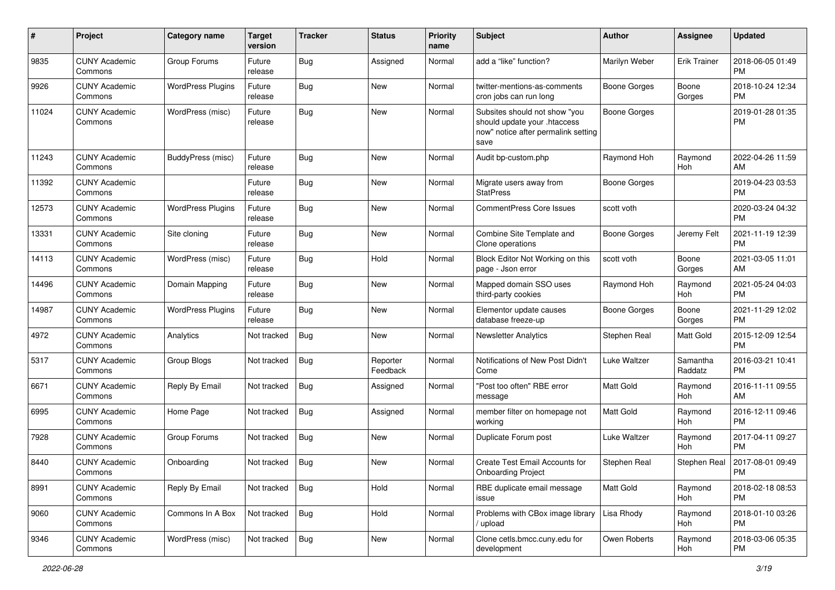| #     | Project                         | <b>Category name</b>     | <b>Target</b><br>version | <b>Tracker</b> | <b>Status</b>        | <b>Priority</b><br>name | <b>Subject</b>                                                                                               | Author              | <b>Assignee</b>     | <b>Updated</b>                |
|-------|---------------------------------|--------------------------|--------------------------|----------------|----------------------|-------------------------|--------------------------------------------------------------------------------------------------------------|---------------------|---------------------|-------------------------------|
| 9835  | <b>CUNY Academic</b><br>Commons | Group Forums             | Future<br>release        | Bug            | Assigned             | Normal                  | add a "like" function?                                                                                       | Marilyn Weber       | <b>Erik Trainer</b> | 2018-06-05 01:49<br><b>PM</b> |
| 9926  | <b>CUNY Academic</b><br>Commons | <b>WordPress Plugins</b> | Future<br>release        | <b>Bug</b>     | New                  | Normal                  | twitter-mentions-as-comments<br>cron jobs can run long                                                       | <b>Boone Gorges</b> | Boone<br>Gorges     | 2018-10-24 12:34<br>PM        |
| 11024 | <b>CUNY Academic</b><br>Commons | WordPress (misc)         | Future<br>release        | Bug            | New                  | Normal                  | Subsites should not show "you<br>should update your .htaccess<br>now" notice after permalink setting<br>save | <b>Boone Gorges</b> |                     | 2019-01-28 01:35<br><b>PM</b> |
| 11243 | <b>CUNY Academic</b><br>Commons | BuddyPress (misc)        | Future<br>release        | <b>Bug</b>     | New                  | Normal                  | Audit bp-custom.php                                                                                          | Raymond Hoh         | Raymond<br>Hoh      | 2022-04-26 11:59<br>AM        |
| 11392 | <b>CUNY Academic</b><br>Commons |                          | Future<br>release        | Bug            | <b>New</b>           | Normal                  | Migrate users away from<br><b>StatPress</b>                                                                  | <b>Boone Gorges</b> |                     | 2019-04-23 03:53<br><b>PM</b> |
| 12573 | <b>CUNY Academic</b><br>Commons | <b>WordPress Plugins</b> | Future<br>release        | Bug            | New                  | Normal                  | <b>CommentPress Core Issues</b>                                                                              | scott voth          |                     | 2020-03-24 04:32<br><b>PM</b> |
| 13331 | <b>CUNY Academic</b><br>Commons | Site cloning             | Future<br>release        | <b>Bug</b>     | <b>New</b>           | Normal                  | Combine Site Template and<br>Clone operations                                                                | <b>Boone Gorges</b> | Jeremy Felt         | 2021-11-19 12:39<br><b>PM</b> |
| 14113 | <b>CUNY Academic</b><br>Commons | WordPress (misc)         | Future<br>release        | Bug            | Hold                 | Normal                  | Block Editor Not Working on this<br>page - Json error                                                        | scott voth          | Boone<br>Gorges     | 2021-03-05 11:01<br>AM        |
| 14496 | <b>CUNY Academic</b><br>Commons | Domain Mapping           | Future<br>release        | <b>Bug</b>     | New                  | Normal                  | Mapped domain SSO uses<br>third-party cookies                                                                | Raymond Hoh         | Raymond<br>Hoh      | 2021-05-24 04:03<br><b>PM</b> |
| 14987 | <b>CUNY Academic</b><br>Commons | <b>WordPress Plugins</b> | Future<br>release        | Bug            | <b>New</b>           | Normal                  | Elementor update causes<br>database freeze-up                                                                | <b>Boone Gorges</b> | Boone<br>Gorges     | 2021-11-29 12:02<br><b>PM</b> |
| 4972  | <b>CUNY Academic</b><br>Commons | Analytics                | Not tracked              | <b>Bug</b>     | New                  | Normal                  | <b>Newsletter Analytics</b>                                                                                  | Stephen Real        | Matt Gold           | 2015-12-09 12:54<br><b>PM</b> |
| 5317  | <b>CUNY Academic</b><br>Commons | Group Blogs              | Not tracked              | <b>Bug</b>     | Reporter<br>Feedback | Normal                  | Notifications of New Post Didn't<br>Come                                                                     | Luke Waltzer        | Samantha<br>Raddatz | 2016-03-21 10:41<br><b>PM</b> |
| 6671  | <b>CUNY Academic</b><br>Commons | Reply By Email           | Not tracked              | Bug            | Assigned             | Normal                  | "Post too often" RBE error<br>message                                                                        | Matt Gold           | Raymond<br>Hoh      | 2016-11-11 09:55<br>AM        |
| 6995  | <b>CUNY Academic</b><br>Commons | Home Page                | Not tracked              | Bug            | Assigned             | Normal                  | member filter on homepage not<br>working                                                                     | <b>Matt Gold</b>    | Raymond<br>Hoh      | 2016-12-11 09:46<br><b>PM</b> |
| 7928  | <b>CUNY Academic</b><br>Commons | Group Forums             | Not tracked              | <b>Bug</b>     | New                  | Normal                  | Duplicate Forum post                                                                                         | Luke Waltzer        | Raymond<br>Hoh      | 2017-04-11 09:27<br><b>PM</b> |
| 8440  | <b>CUNY Academic</b><br>Commons | Onboarding               | Not tracked              | <b>Bug</b>     | New                  | Normal                  | Create Test Email Accounts for<br><b>Onboarding Project</b>                                                  | Stephen Real        | Stephen Real        | 2017-08-01 09:49<br>PM        |
| 8991  | <b>CUNY Academic</b><br>Commons | Reply By Email           | Not tracked              | Bug            | Hold                 | Normal                  | RBE duplicate email message<br>issue                                                                         | Matt Gold           | Raymond<br>Hoh      | 2018-02-18 08:53<br><b>PM</b> |
| 9060  | <b>CUNY Academic</b><br>Commons | Commons In A Box         | Not tracked              | Bug            | Hold                 | Normal                  | Problems with CBox image library<br>/ upload                                                                 | Lisa Rhody          | Raymond<br>Hoh      | 2018-01-10 03:26<br>PM        |
| 9346  | <b>CUNY Academic</b><br>Commons | WordPress (misc)         | Not tracked              | Bug            | New                  | Normal                  | Clone cetls.bmcc.cuny.edu for<br>development                                                                 | Owen Roberts        | Raymond<br>Hoh      | 2018-03-06 05:35<br>PM        |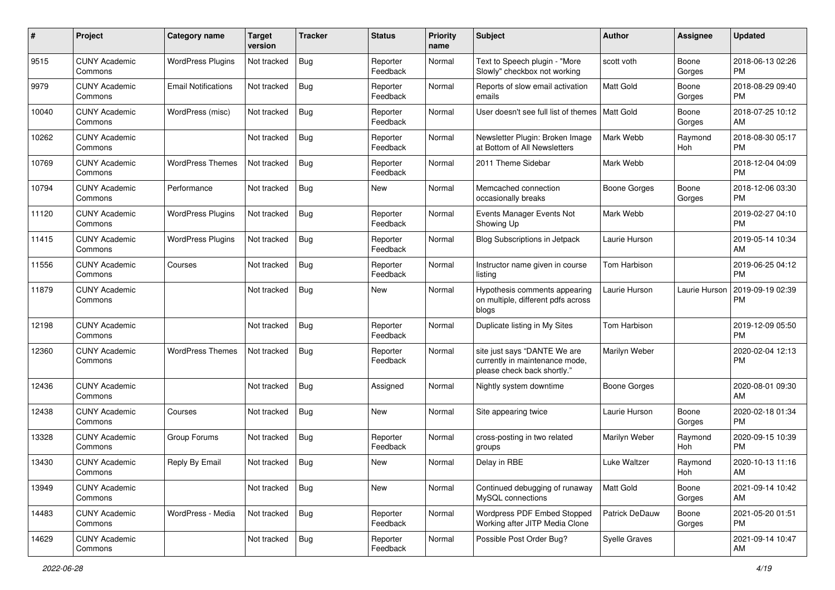| #     | Project                         | <b>Category name</b>       | Target<br>version | <b>Tracker</b> | <b>Status</b>        | <b>Priority</b><br>name | <b>Subject</b>                                                                                | Author                | <b>Assignee</b> | <b>Updated</b>                |
|-------|---------------------------------|----------------------------|-------------------|----------------|----------------------|-------------------------|-----------------------------------------------------------------------------------------------|-----------------------|-----------------|-------------------------------|
| 9515  | <b>CUNY Academic</b><br>Commons | <b>WordPress Plugins</b>   | Not tracked       | Bug            | Reporter<br>Feedback | Normal                  | Text to Speech plugin - "More<br>Slowly" checkbox not working                                 | scott voth            | Boone<br>Gorges | 2018-06-13 02:26<br><b>PM</b> |
| 9979  | <b>CUNY Academic</b><br>Commons | <b>Email Notifications</b> | Not tracked       | <b>Bug</b>     | Reporter<br>Feedback | Normal                  | Reports of slow email activation<br>emails                                                    | <b>Matt Gold</b>      | Boone<br>Gorges | 2018-08-29 09:40<br><b>PM</b> |
| 10040 | <b>CUNY Academic</b><br>Commons | WordPress (misc)           | Not tracked       | <b>Bug</b>     | Reporter<br>Feedback | Normal                  | User doesn't see full list of themes                                                          | Matt Gold             | Boone<br>Gorges | 2018-07-25 10:12<br>AM        |
| 10262 | <b>CUNY Academic</b><br>Commons |                            | Not tracked       | <b>Bug</b>     | Reporter<br>Feedback | Normal                  | Newsletter Plugin: Broken Image<br>at Bottom of All Newsletters                               | Mark Webb             | Raymond<br>Hoh  | 2018-08-30 05:17<br><b>PM</b> |
| 10769 | <b>CUNY Academic</b><br>Commons | <b>WordPress Themes</b>    | Not tracked       | <b>Bug</b>     | Reporter<br>Feedback | Normal                  | 2011 Theme Sidebar                                                                            | Mark Webb             |                 | 2018-12-04 04:09<br><b>PM</b> |
| 10794 | <b>CUNY Academic</b><br>Commons | Performance                | Not tracked       | <b>Bug</b>     | New                  | Normal                  | Memcached connection<br>occasionally breaks                                                   | <b>Boone Gorges</b>   | Boone<br>Gorges | 2018-12-06 03:30<br><b>PM</b> |
| 11120 | <b>CUNY Academic</b><br>Commons | <b>WordPress Plugins</b>   | Not tracked       | <b>Bug</b>     | Reporter<br>Feedback | Normal                  | Events Manager Events Not<br>Showing Up                                                       | Mark Webb             |                 | 2019-02-27 04:10<br><b>PM</b> |
| 11415 | <b>CUNY Academic</b><br>Commons | <b>WordPress Plugins</b>   | Not tracked       | <b>Bug</b>     | Reporter<br>Feedback | Normal                  | <b>Blog Subscriptions in Jetpack</b>                                                          | Laurie Hurson         |                 | 2019-05-14 10:34<br>AM        |
| 11556 | <b>CUNY Academic</b><br>Commons | Courses                    | Not tracked       | <b>Bug</b>     | Reporter<br>Feedback | Normal                  | Instructor name given in course<br>listing                                                    | Tom Harbison          |                 | 2019-06-25 04:12<br><b>PM</b> |
| 11879 | <b>CUNY Academic</b><br>Commons |                            | Not tracked       | <b>Bug</b>     | New                  | Normal                  | Hypothesis comments appearing<br>on multiple, different pdfs across<br>blogs                  | Laurie Hurson         | Laurie Hurson   | 2019-09-19 02:39<br><b>PM</b> |
| 12198 | <b>CUNY Academic</b><br>Commons |                            | Not tracked       | <b>Bug</b>     | Reporter<br>Feedback | Normal                  | Duplicate listing in My Sites                                                                 | Tom Harbison          |                 | 2019-12-09 05:50<br><b>PM</b> |
| 12360 | <b>CUNY Academic</b><br>Commons | <b>WordPress Themes</b>    | Not tracked       | Bug            | Reporter<br>Feedback | Normal                  | site just says "DANTE We are<br>currently in maintenance mode,<br>please check back shortly." | Marilyn Weber         |                 | 2020-02-04 12:13<br><b>PM</b> |
| 12436 | <b>CUNY Academic</b><br>Commons |                            | Not tracked       | <b>Bug</b>     | Assigned             | Normal                  | Nightly system downtime                                                                       | <b>Boone Gorges</b>   |                 | 2020-08-01 09:30<br>AM        |
| 12438 | <b>CUNY Academic</b><br>Commons | Courses                    | Not tracked       | <b>Bug</b>     | <b>New</b>           | Normal                  | Site appearing twice                                                                          | Laurie Hurson         | Boone<br>Gorges | 2020-02-18 01:34<br><b>PM</b> |
| 13328 | <b>CUNY Academic</b><br>Commons | Group Forums               | Not tracked       | <b>Bug</b>     | Reporter<br>Feedback | Normal                  | cross-posting in two related<br>groups                                                        | Marilyn Weber         | Raymond<br>Hoh  | 2020-09-15 10:39<br><b>PM</b> |
| 13430 | <b>CUNY Academic</b><br>Commons | Reply By Email             | Not tracked       | Bug            | New                  | Normal                  | Delay in RBE                                                                                  | Luke Waltzer          | Raymond<br>Hoh  | 2020-10-13 11:16<br>AM        |
| 13949 | <b>CUNY Academic</b><br>Commons |                            | Not tracked       | Bug            | New                  | Normal                  | Continued debugging of runaway<br>MySQL connections                                           | Matt Gold             | Boone<br>Gorges | 2021-09-14 10:42<br>AM        |
| 14483 | <b>CUNY Academic</b><br>Commons | WordPress - Media          | Not tracked       | Bug            | Reporter<br>Feedback | Normal                  | Wordpress PDF Embed Stopped<br>Working after JITP Media Clone                                 | <b>Patrick DeDauw</b> | Boone<br>Gorges | 2021-05-20 01:51<br><b>PM</b> |
| 14629 | <b>CUNY Academic</b><br>Commons |                            | Not tracked       | Bug            | Reporter<br>Feedback | Normal                  | Possible Post Order Bug?                                                                      | Syelle Graves         |                 | 2021-09-14 10:47<br>AM        |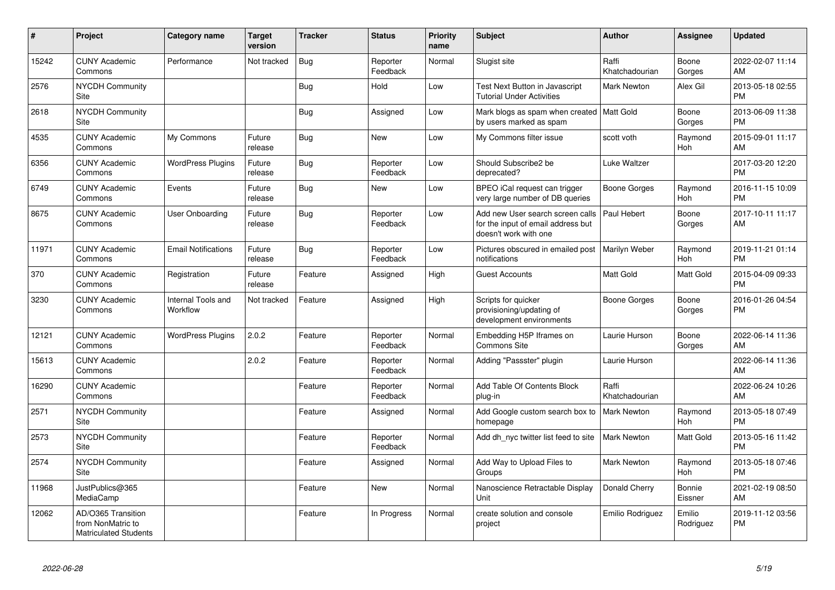| $\pmb{\#}$ | Project                                                                 | <b>Category name</b>           | <b>Target</b><br>version | <b>Tracker</b> | <b>Status</b>        | <b>Priority</b><br>name | <b>Subject</b>                                                                                  | <b>Author</b>           | Assignee            | <b>Updated</b>                |
|------------|-------------------------------------------------------------------------|--------------------------------|--------------------------|----------------|----------------------|-------------------------|-------------------------------------------------------------------------------------------------|-------------------------|---------------------|-------------------------------|
| 15242      | <b>CUNY Academic</b><br>Commons                                         | Performance                    | Not tracked              | Bug            | Reporter<br>Feedback | Normal                  | Slugist site                                                                                    | Raffi<br>Khatchadourian | Boone<br>Gorges     | 2022-02-07 11:14<br>AM        |
| 2576       | <b>NYCDH Community</b><br>Site                                          |                                |                          | Bug            | Hold                 | Low                     | Test Next Button in Javascript<br><b>Tutorial Under Activities</b>                              | <b>Mark Newton</b>      | Alex Gil            | 2013-05-18 02:55<br><b>PM</b> |
| 2618       | <b>NYCDH Community</b><br>Site                                          |                                |                          | Bug            | Assigned             | Low                     | Mark blogs as spam when created   Matt Gold<br>by users marked as spam                          |                         | Boone<br>Gorges     | 2013-06-09 11:38<br><b>PM</b> |
| 4535       | <b>CUNY Academic</b><br>Commons                                         | My Commons                     | Future<br>release        | Bug            | <b>New</b>           | Low                     | My Commons filter issue                                                                         | scott voth              | Raymond<br>Hoh      | 2015-09-01 11:17<br>AM        |
| 6356       | <b>CUNY Academic</b><br>Commons                                         | <b>WordPress Plugins</b>       | Future<br>release        | Bug            | Reporter<br>Feedback | Low                     | Should Subscribe2 be<br>deprecated?                                                             | Luke Waltzer            |                     | 2017-03-20 12:20<br><b>PM</b> |
| 6749       | <b>CUNY Academic</b><br>Commons                                         | Events                         | Future<br>release        | <b>Bug</b>     | <b>New</b>           | Low                     | BPEO iCal request can trigger<br>very large number of DB queries                                | Boone Gorges            | Raymond<br>Hoh      | 2016-11-15 10:09<br><b>PM</b> |
| 8675       | <b>CUNY Academic</b><br>Commons                                         | <b>User Onboarding</b>         | Future<br>release        | Bug            | Reporter<br>Feedback | Low                     | Add new User search screen calls<br>for the input of email address but<br>doesn't work with one | Paul Hebert             | Boone<br>Gorges     | 2017-10-11 11:17<br>AM        |
| 11971      | <b>CUNY Academic</b><br>Commons                                         | <b>Email Notifications</b>     | Future<br>release        | Bug            | Reporter<br>Feedback | Low                     | Pictures obscured in emailed post<br>notifications                                              | Marilyn Weber           | Raymond<br>Hoh      | 2019-11-21 01:14<br><b>PM</b> |
| 370        | <b>CUNY Academic</b><br>Commons                                         | Registration                   | Future<br>release        | Feature        | Assigned             | High                    | <b>Guest Accounts</b>                                                                           | Matt Gold               | Matt Gold           | 2015-04-09 09:33<br><b>PM</b> |
| 3230       | <b>CUNY Academic</b><br>Commons                                         | Internal Tools and<br>Workflow | Not tracked              | Feature        | Assigned             | High                    | Scripts for quicker<br>provisioning/updating of<br>development environments                     | <b>Boone Gorges</b>     | Boone<br>Gorges     | 2016-01-26 04:54<br><b>PM</b> |
| 12121      | <b>CUNY Academic</b><br>Commons                                         | <b>WordPress Plugins</b>       | 2.0.2                    | Feature        | Reporter<br>Feedback | Normal                  | Embedding H5P Iframes on<br><b>Commons Site</b>                                                 | Laurie Hurson           | Boone<br>Gorges     | 2022-06-14 11:36<br>AM        |
| 15613      | <b>CUNY Academic</b><br>Commons                                         |                                | 2.0.2                    | Feature        | Reporter<br>Feedback | Normal                  | Adding "Passster" plugin                                                                        | Laurie Hurson           |                     | 2022-06-14 11:36<br>AM        |
| 16290      | <b>CUNY Academic</b><br>Commons                                         |                                |                          | Feature        | Reporter<br>Feedback | Normal                  | Add Table Of Contents Block<br>plug-in                                                          | Raffi<br>Khatchadourian |                     | 2022-06-24 10:26<br>AM        |
| 2571       | <b>NYCDH Community</b><br>Site                                          |                                |                          | Feature        | Assigned             | Normal                  | Add Google custom search box to<br>homepage                                                     | <b>Mark Newton</b>      | Raymond<br>Hoh      | 2013-05-18 07:49<br><b>PM</b> |
| 2573       | <b>NYCDH Community</b><br>Site                                          |                                |                          | Feature        | Reporter<br>Feedback | Normal                  | Add dh nyc twitter list feed to site                                                            | <b>Mark Newton</b>      | Matt Gold           | 2013-05-16 11:42<br><b>PM</b> |
| 2574       | <b>NYCDH Community</b><br>Site                                          |                                |                          | Feature        | Assigned             | Normal                  | Add Way to Upload Files to<br>Groups                                                            | <b>Mark Newton</b>      | Raymond<br>Hoh      | 2013-05-18 07:46<br><b>PM</b> |
| 11968      | JustPublics@365<br>MediaCamp                                            |                                |                          | Feature        | <b>New</b>           | Normal                  | Nanoscience Retractable Display<br>Unit                                                         | Donald Cherry           | Bonnie<br>Eissner   | 2021-02-19 08:50<br>AM        |
| 12062      | AD/O365 Transition<br>from NonMatric to<br><b>Matriculated Students</b> |                                |                          | Feature        | In Progress          | Normal                  | create solution and console<br>project                                                          | Emilio Rodriguez        | Emilio<br>Rodriguez | 2019-11-12 03:56<br><b>PM</b> |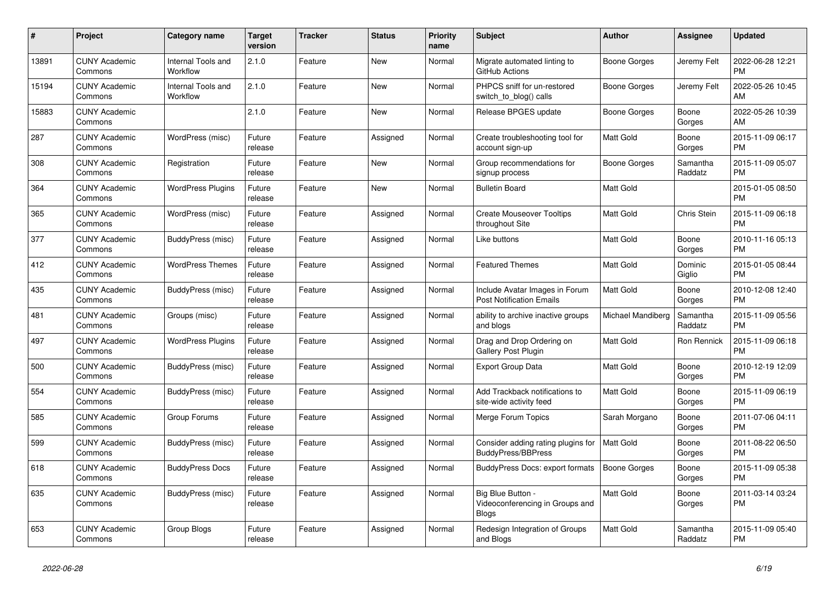| #     | Project                         | Category name                  | <b>Target</b><br>version | <b>Tracker</b> | <b>Status</b> | Priority<br>name | <b>Subject</b>                                                       | Author              | Assignee            | <b>Updated</b>                |
|-------|---------------------------------|--------------------------------|--------------------------|----------------|---------------|------------------|----------------------------------------------------------------------|---------------------|---------------------|-------------------------------|
| 13891 | <b>CUNY Academic</b><br>Commons | Internal Tools and<br>Workflow | 2.1.0                    | Feature        | <b>New</b>    | Normal           | Migrate automated linting to<br>GitHub Actions                       | Boone Gorges        | Jeremy Felt         | 2022-06-28 12:21<br><b>PM</b> |
| 15194 | <b>CUNY Academic</b><br>Commons | Internal Tools and<br>Workflow | 2.1.0                    | Feature        | <b>New</b>    | Normal           | PHPCS sniff for un-restored<br>switch_to_blog() calls                | Boone Gorges        | Jeremy Felt         | 2022-05-26 10:45<br>AM        |
| 15883 | <b>CUNY Academic</b><br>Commons |                                | 2.1.0                    | Feature        | New           | Normal           | Release BPGES update                                                 | Boone Gorges        | Boone<br>Gorges     | 2022-05-26 10:39<br>AM        |
| 287   | <b>CUNY Academic</b><br>Commons | WordPress (misc)               | Future<br>release        | Feature        | Assigned      | Normal           | Create troubleshooting tool for<br>account sign-up                   | <b>Matt Gold</b>    | Boone<br>Gorges     | 2015-11-09 06:17<br><b>PM</b> |
| 308   | <b>CUNY Academic</b><br>Commons | Registration                   | Future<br>release        | Feature        | <b>New</b>    | Normal           | Group recommendations for<br>signup process                          | Boone Gorges        | Samantha<br>Raddatz | 2015-11-09 05:07<br><b>PM</b> |
| 364   | <b>CUNY Academic</b><br>Commons | <b>WordPress Plugins</b>       | Future<br>release        | Feature        | <b>New</b>    | Normal           | <b>Bulletin Board</b>                                                | Matt Gold           |                     | 2015-01-05 08:50<br><b>PM</b> |
| 365   | <b>CUNY Academic</b><br>Commons | WordPress (misc)               | Future<br>release        | Feature        | Assigned      | Normal           | <b>Create Mouseover Tooltips</b><br>throughout Site                  | Matt Gold           | Chris Stein         | 2015-11-09 06:18<br><b>PM</b> |
| 377   | <b>CUNY Academic</b><br>Commons | BuddyPress (misc)              | Future<br>release        | Feature        | Assigned      | Normal           | Like buttons                                                         | <b>Matt Gold</b>    | Boone<br>Gorges     | 2010-11-16 05:13<br><b>PM</b> |
| 412   | <b>CUNY Academic</b><br>Commons | <b>WordPress Themes</b>        | Future<br>release        | Feature        | Assigned      | Normal           | <b>Featured Themes</b>                                               | Matt Gold           | Dominic<br>Giglio   | 2015-01-05 08:44<br><b>PM</b> |
| 435   | <b>CUNY Academic</b><br>Commons | BuddyPress (misc)              | Future<br>release        | Feature        | Assigned      | Normal           | Include Avatar Images in Forum<br><b>Post Notification Emails</b>    | Matt Gold           | Boone<br>Gorges     | 2010-12-08 12:40<br><b>PM</b> |
| 481   | <b>CUNY Academic</b><br>Commons | Groups (misc)                  | Future<br>release        | Feature        | Assigned      | Normal           | ability to archive inactive groups<br>and blogs                      | Michael Mandiberg   | Samantha<br>Raddatz | 2015-11-09 05:56<br><b>PM</b> |
| 497   | <b>CUNY Academic</b><br>Commons | <b>WordPress Plugins</b>       | Future<br>release        | Feature        | Assigned      | Normal           | Drag and Drop Ordering on<br>Gallery Post Plugin                     | Matt Gold           | Ron Rennick         | 2015-11-09 06:18<br><b>PM</b> |
| 500   | <b>CUNY Academic</b><br>Commons | BuddyPress (misc)              | Future<br>release        | Feature        | Assigned      | Normal           | Export Group Data                                                    | <b>Matt Gold</b>    | Boone<br>Gorges     | 2010-12-19 12:09<br><b>PM</b> |
| 554   | <b>CUNY Academic</b><br>Commons | BuddyPress (misc)              | Future<br>release        | Feature        | Assigned      | Normal           | Add Trackback notifications to<br>site-wide activity feed            | Matt Gold           | Boone<br>Gorges     | 2015-11-09 06:19<br>PM        |
| 585   | <b>CUNY Academic</b><br>Commons | Group Forums                   | Future<br>release        | Feature        | Assigned      | Normal           | Merge Forum Topics                                                   | Sarah Morgano       | Boone<br>Gorges     | 2011-07-06 04:11<br><b>PM</b> |
| 599   | <b>CUNY Academic</b><br>Commons | BuddyPress (misc)              | Future<br>release        | Feature        | Assigned      | Normal           | Consider adding rating plugins for<br><b>BuddyPress/BBPress</b>      | Matt Gold           | Boone<br>Gorges     | 2011-08-22 06:50<br><b>PM</b> |
| 618   | <b>CUNY Academic</b><br>Commons | <b>BuddyPress Docs</b>         | Future<br>release        | Feature        | Assigned      | Normal           | <b>BuddyPress Docs: export formats</b>                               | <b>Boone Gorges</b> | Boone<br>Gorges     | 2015-11-09 05:38<br><b>PM</b> |
| 635   | <b>CUNY Academic</b><br>Commons | BuddyPress (misc)              | Future<br>release        | Feature        | Assigned      | Normal           | Big Blue Button -<br>Videoconferencing in Groups and<br><b>Blogs</b> | Matt Gold           | Boone<br>Gorges     | 2011-03-14 03:24<br><b>PM</b> |
| 653   | <b>CUNY Academic</b><br>Commons | Group Blogs                    | Future<br>release        | Feature        | Assigned      | Normal           | Redesign Integration of Groups<br>and Blogs                          | <b>Matt Gold</b>    | Samantha<br>Raddatz | 2015-11-09 05:40<br><b>PM</b> |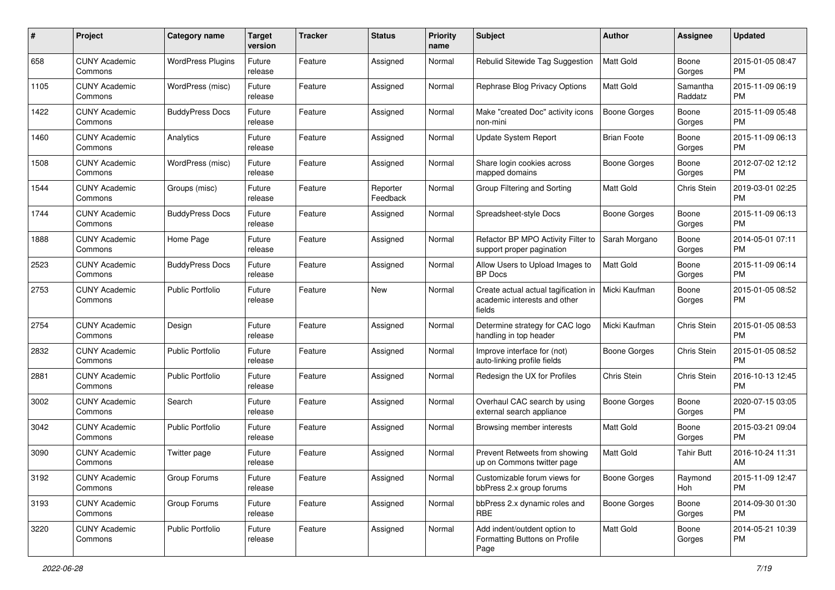| #    | Project                         | <b>Category name</b>     | <b>Target</b><br>version | <b>Tracker</b> | <b>Status</b>        | <b>Priority</b><br>name | Subject                                                                        | Author              | <b>Assignee</b>     | <b>Updated</b>                |
|------|---------------------------------|--------------------------|--------------------------|----------------|----------------------|-------------------------|--------------------------------------------------------------------------------|---------------------|---------------------|-------------------------------|
| 658  | <b>CUNY Academic</b><br>Commons | <b>WordPress Plugins</b> | Future<br>release        | Feature        | Assigned             | Normal                  | Rebulid Sitewide Tag Suggestion                                                | <b>Matt Gold</b>    | Boone<br>Gorges     | 2015-01-05 08:47<br><b>PM</b> |
| 1105 | <b>CUNY Academic</b><br>Commons | WordPress (misc)         | Future<br>release        | Feature        | Assigned             | Normal                  | Rephrase Blog Privacy Options                                                  | <b>Matt Gold</b>    | Samantha<br>Raddatz | 2015-11-09 06:19<br><b>PM</b> |
| 1422 | <b>CUNY Academic</b><br>Commons | <b>BuddyPress Docs</b>   | Future<br>release        | Feature        | Assigned             | Normal                  | Make "created Doc" activity icons<br>non-mini                                  | <b>Boone Gorges</b> | Boone<br>Gorges     | 2015-11-09 05:48<br><b>PM</b> |
| 1460 | <b>CUNY Academic</b><br>Commons | Analytics                | Future<br>release        | Feature        | Assigned             | Normal                  | Update System Report                                                           | <b>Brian Foote</b>  | Boone<br>Gorges     | 2015-11-09 06:13<br><b>PM</b> |
| 1508 | <b>CUNY Academic</b><br>Commons | WordPress (misc)         | Future<br>release        | Feature        | Assigned             | Normal                  | Share login cookies across<br>mapped domains                                   | Boone Gorges        | Boone<br>Gorges     | 2012-07-02 12:12<br><b>PM</b> |
| 1544 | <b>CUNY Academic</b><br>Commons | Groups (misc)            | Future<br>release        | Feature        | Reporter<br>Feedback | Normal                  | Group Filtering and Sorting                                                    | <b>Matt Gold</b>    | Chris Stein         | 2019-03-01 02:25<br><b>PM</b> |
| 1744 | <b>CUNY Academic</b><br>Commons | <b>BuddyPress Docs</b>   | Future<br>release        | Feature        | Assigned             | Normal                  | Spreadsheet-style Docs                                                         | <b>Boone Gorges</b> | Boone<br>Gorges     | 2015-11-09 06:13<br><b>PM</b> |
| 1888 | <b>CUNY Academic</b><br>Commons | Home Page                | Future<br>release        | Feature        | Assigned             | Normal                  | Refactor BP MPO Activity Filter to<br>support proper pagination                | Sarah Morgano       | Boone<br>Gorges     | 2014-05-01 07:11<br><b>PM</b> |
| 2523 | <b>CUNY Academic</b><br>Commons | <b>BuddyPress Docs</b>   | Future<br>release        | Feature        | Assigned             | Normal                  | Allow Users to Upload Images to<br><b>BP</b> Docs                              | Matt Gold           | Boone<br>Gorges     | 2015-11-09 06:14<br><b>PM</b> |
| 2753 | <b>CUNY Academic</b><br>Commons | <b>Public Portfolio</b>  | Future<br>release        | Feature        | <b>New</b>           | Normal                  | Create actual actual tagification in<br>academic interests and other<br>fields | Micki Kaufman       | Boone<br>Gorges     | 2015-01-05 08:52<br><b>PM</b> |
| 2754 | <b>CUNY Academic</b><br>Commons | Design                   | Future<br>release        | Feature        | Assigned             | Normal                  | Determine strategy for CAC logo<br>handling in top header                      | Micki Kaufman       | Chris Stein         | 2015-01-05 08:53<br><b>PM</b> |
| 2832 | CUNY Academic<br>Commons        | <b>Public Portfolio</b>  | Future<br>release        | Feature        | Assigned             | Normal                  | Improve interface for (not)<br>auto-linking profile fields                     | Boone Gorges        | Chris Stein         | 2015-01-05 08:52<br><b>PM</b> |
| 2881 | <b>CUNY Academic</b><br>Commons | <b>Public Portfolio</b>  | Future<br>release        | Feature        | Assigned             | Normal                  | Redesign the UX for Profiles                                                   | Chris Stein         | Chris Stein         | 2016-10-13 12:45<br><b>PM</b> |
| 3002 | <b>CUNY Academic</b><br>Commons | Search                   | Future<br>release        | Feature        | Assigned             | Normal                  | Overhaul CAC search by using<br>external search appliance                      | <b>Boone Gorges</b> | Boone<br>Gorges     | 2020-07-15 03:05<br><b>PM</b> |
| 3042 | <b>CUNY Academic</b><br>Commons | <b>Public Portfolio</b>  | Future<br>release        | Feature        | Assigned             | Normal                  | Browsing member interests                                                      | Matt Gold           | Boone<br>Gorges     | 2015-03-21 09:04<br><b>PM</b> |
| 3090 | <b>CUNY Academic</b><br>Commons | Twitter page             | Future<br>release        | Feature        | Assigned             | Normal                  | Prevent Retweets from showing<br>up on Commons twitter page                    | Matt Gold           | <b>Tahir Butt</b>   | 2016-10-24 11:31<br>AM        |
| 3192 | <b>CUNY Academic</b><br>Commons | Group Forums             | Future<br>release        | Feature        | Assigned             | Normal                  | Customizable forum views for<br>bbPress 2.x group forums                       | <b>Boone Gorges</b> | Raymond<br>Hoh      | 2015-11-09 12:47<br>PM        |
| 3193 | <b>CUNY Academic</b><br>Commons | Group Forums             | Future<br>release        | Feature        | Assigned             | Normal                  | bbPress 2.x dynamic roles and<br><b>RBE</b>                                    | <b>Boone Gorges</b> | Boone<br>Gorges     | 2014-09-30 01:30<br>PM        |
| 3220 | <b>CUNY Academic</b><br>Commons | Public Portfolio         | Future<br>release        | Feature        | Assigned             | Normal                  | Add indent/outdent option to<br>Formatting Buttons on Profile<br>Page          | Matt Gold           | Boone<br>Gorges     | 2014-05-21 10:39<br><b>PM</b> |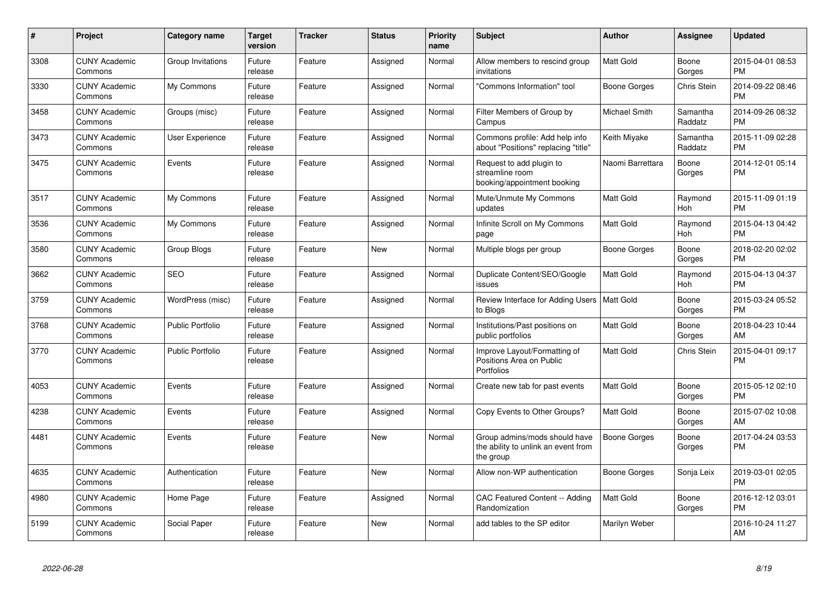| #    | <b>Project</b>                  | Category name           | <b>Target</b><br>version | <b>Tracker</b> | <b>Status</b> | <b>Priority</b><br>name | <b>Subject</b>                                                                    | <b>Author</b>        | Assignee              | Updated                       |
|------|---------------------------------|-------------------------|--------------------------|----------------|---------------|-------------------------|-----------------------------------------------------------------------------------|----------------------|-----------------------|-------------------------------|
| 3308 | <b>CUNY Academic</b><br>Commons | Group Invitations       | Future<br>release        | Feature        | Assigned      | Normal                  | Allow members to rescind group<br>invitations                                     | Matt Gold            | Boone<br>Gorges       | 2015-04-01 08:53<br><b>PM</b> |
| 3330 | <b>CUNY Academic</b><br>Commons | My Commons              | Future<br>release        | Feature        | Assigned      | Normal                  | 'Commons Information" tool                                                        | <b>Boone Gorges</b>  | <b>Chris Stein</b>    | 2014-09-22 08:46<br><b>PM</b> |
| 3458 | <b>CUNY Academic</b><br>Commons | Groups (misc)           | Future<br>release        | Feature        | Assigned      | Normal                  | Filter Members of Group by<br>Campus                                              | <b>Michael Smith</b> | Samantha<br>Raddatz   | 2014-09-26 08:32<br><b>PM</b> |
| 3473 | <b>CUNY Academic</b><br>Commons | <b>User Experience</b>  | Future<br>release        | Feature        | Assigned      | Normal                  | Commons profile: Add help info<br>about "Positions" replacing "title"             | Keith Miyake         | Samantha<br>Raddatz   | 2015-11-09 02:28<br><b>PM</b> |
| 3475 | <b>CUNY Academic</b><br>Commons | Events                  | Future<br>release        | Feature        | Assigned      | Normal                  | Request to add plugin to<br>streamline room<br>booking/appointment booking        | Naomi Barrettara     | Boone<br>Gorges       | 2014-12-01 05:14<br>PM        |
| 3517 | <b>CUNY Academic</b><br>Commons | My Commons              | Future<br>release        | Feature        | Assigned      | Normal                  | Mute/Unmute My Commons<br>updates                                                 | Matt Gold            | Raymond<br><b>Hoh</b> | 2015-11-09 01:19<br><b>PM</b> |
| 3536 | <b>CUNY Academic</b><br>Commons | My Commons              | Future<br>release        | Feature        | Assigned      | Normal                  | Infinite Scroll on My Commons<br>page                                             | Matt Gold            | Raymond<br><b>Hoh</b> | 2015-04-13 04:42<br><b>PM</b> |
| 3580 | <b>CUNY Academic</b><br>Commons | Group Blogs             | Future<br>release        | Feature        | <b>New</b>    | Normal                  | Multiple blogs per group                                                          | Boone Gorges         | Boone<br>Gorges       | 2018-02-20 02:02<br><b>PM</b> |
| 3662 | <b>CUNY Academic</b><br>Commons | <b>SEO</b>              | Future<br>release        | Feature        | Assigned      | Normal                  | Duplicate Content/SEO/Google<br>issues                                            | Matt Gold            | Raymond<br>Hoh        | 2015-04-13 04:37<br><b>PM</b> |
| 3759 | <b>CUNY Academic</b><br>Commons | WordPress (misc)        | Future<br>release        | Feature        | Assigned      | Normal                  | Review Interface for Adding Users   Matt Gold<br>to Blogs                         |                      | Boone<br>Gorges       | 2015-03-24 05:52<br>PM        |
| 3768 | <b>CUNY Academic</b><br>Commons | <b>Public Portfolio</b> | Future<br>release        | Feature        | Assigned      | Normal                  | Institutions/Past positions on<br>public portfolios                               | Matt Gold            | Boone<br>Gorges       | 2018-04-23 10:44<br>AM        |
| 3770 | <b>CUNY Academic</b><br>Commons | <b>Public Portfolio</b> | Future<br>release        | Feature        | Assigned      | Normal                  | Improve Layout/Formatting of<br>Positions Area on Public<br>Portfolios            | Matt Gold            | Chris Stein           | 2015-04-01 09:17<br>PM        |
| 4053 | <b>CUNY Academic</b><br>Commons | Events                  | Future<br>release        | Feature        | Assigned      | Normal                  | Create new tab for past events                                                    | Matt Gold            | Boone<br>Gorges       | 2015-05-12 02:10<br><b>PM</b> |
| 4238 | <b>CUNY Academic</b><br>Commons | Events                  | Future<br>release        | Feature        | Assigned      | Normal                  | Copy Events to Other Groups?                                                      | Matt Gold            | Boone<br>Gorges       | 2015-07-02 10:08<br>AM        |
| 4481 | <b>CUNY Academic</b><br>Commons | Events                  | Future<br>release        | Feature        | New           | Normal                  | Group admins/mods should have<br>the ability to unlink an event from<br>the group | Boone Gorges         | Boone<br>Gorges       | 2017-04-24 03:53<br><b>PM</b> |
| 4635 | <b>CUNY Academic</b><br>Commons | Authentication          | Future<br>release        | Feature        | <b>New</b>    | Normal                  | Allow non-WP authentication                                                       | Boone Gorges         | Sonja Leix            | 2019-03-01 02:05<br><b>PM</b> |
| 4980 | <b>CUNY Academic</b><br>Commons | Home Page               | Future<br>release        | Feature        | Assigned      | Normal                  | <b>CAC Featured Content -- Adding</b><br>Randomization                            | Matt Gold            | Boone<br>Gorges       | 2016-12-12 03:01<br><b>PM</b> |
| 5199 | <b>CUNY Academic</b><br>Commons | Social Paper            | Future<br>release        | Feature        | <b>New</b>    | Normal                  | add tables to the SP editor                                                       | Marilyn Weber        |                       | 2016-10-24 11:27<br>AM        |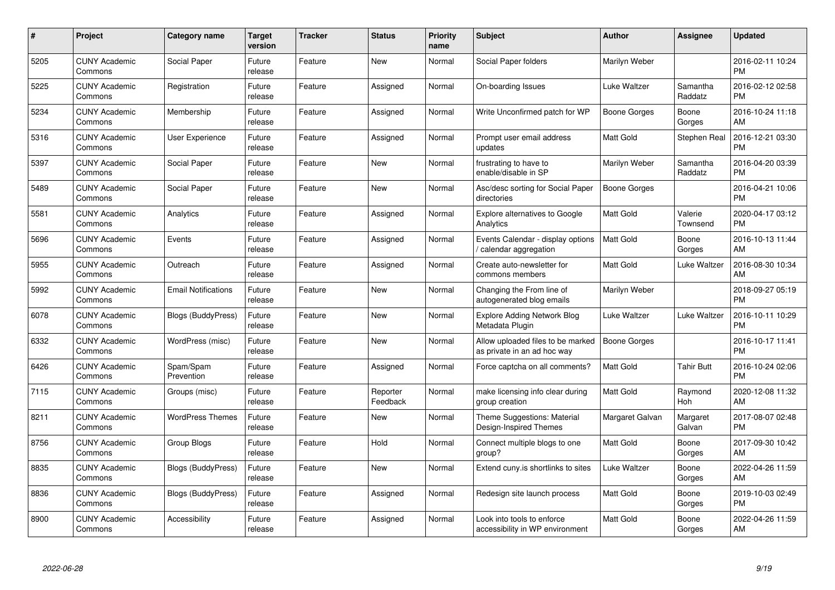| #    | Project                         | <b>Category name</b>       | <b>Target</b><br>version | <b>Tracker</b> | <b>Status</b>        | <b>Priority</b><br>name | <b>Subject</b>                                                   | <b>Author</b>       | <b>Assignee</b>     | <b>Updated</b>                |
|------|---------------------------------|----------------------------|--------------------------|----------------|----------------------|-------------------------|------------------------------------------------------------------|---------------------|---------------------|-------------------------------|
| 5205 | <b>CUNY Academic</b><br>Commons | Social Paper               | Future<br>release        | Feature        | <b>New</b>           | Normal                  | Social Paper folders                                             | Marilyn Weber       |                     | 2016-02-11 10:24<br><b>PM</b> |
| 5225 | <b>CUNY Academic</b><br>Commons | Registration               | Future<br>release        | Feature        | Assigned             | Normal                  | On-boarding Issues                                               | Luke Waltzer        | Samantha<br>Raddatz | 2016-02-12 02:58<br><b>PM</b> |
| 5234 | <b>CUNY Academic</b><br>Commons | Membership                 | Future<br>release        | Feature        | Assigned             | Normal                  | Write Unconfirmed patch for WP                                   | Boone Gorges        | Boone<br>Gorges     | 2016-10-24 11:18<br>AM        |
| 5316 | <b>CUNY Academic</b><br>Commons | User Experience            | Future<br>release        | Feature        | Assigned             | Normal                  | Prompt user email address<br>updates                             | Matt Gold           | Stephen Real        | 2016-12-21 03:30<br><b>PM</b> |
| 5397 | <b>CUNY Academic</b><br>Commons | Social Paper               | Future<br>release        | Feature        | <b>New</b>           | Normal                  | frustrating to have to<br>enable/disable in SP                   | Marilyn Weber       | Samantha<br>Raddatz | 2016-04-20 03:39<br><b>PM</b> |
| 5489 | <b>CUNY Academic</b><br>Commons | Social Paper               | Future<br>release        | Feature        | <b>New</b>           | Normal                  | Asc/desc sorting for Social Paper<br>directories                 | <b>Boone Gorges</b> |                     | 2016-04-21 10:06<br><b>PM</b> |
| 5581 | <b>CUNY Academic</b><br>Commons | Analytics                  | Future<br>release        | Feature        | Assigned             | Normal                  | <b>Explore alternatives to Google</b><br>Analytics               | <b>Matt Gold</b>    | Valerie<br>Townsend | 2020-04-17 03:12<br><b>PM</b> |
| 5696 | <b>CUNY Academic</b><br>Commons | Events                     | Future<br>release        | Feature        | Assigned             | Normal                  | Events Calendar - display options<br>calendar aggregation        | <b>Matt Gold</b>    | Boone<br>Gorges     | 2016-10-13 11:44<br>AM        |
| 5955 | <b>CUNY Academic</b><br>Commons | Outreach                   | Future<br>release        | Feature        | Assigned             | Normal                  | Create auto-newsletter for<br>commons members                    | <b>Matt Gold</b>    | Luke Waltzer        | 2016-08-30 10:34<br>AM        |
| 5992 | <b>CUNY Academic</b><br>Commons | <b>Email Notifications</b> | Future<br>release        | Feature        | <b>New</b>           | Normal                  | Changing the From line of<br>autogenerated blog emails           | Marilyn Weber       |                     | 2018-09-27 05:19<br><b>PM</b> |
| 6078 | <b>CUNY Academic</b><br>Commons | Blogs (BuddyPress)         | Future<br>release        | Feature        | New                  | Normal                  | <b>Explore Adding Network Blog</b><br>Metadata Plugin            | Luke Waltzer        | Luke Waltzer        | 2016-10-11 10:29<br><b>PM</b> |
| 6332 | <b>CUNY Academic</b><br>Commons | WordPress (misc)           | Future<br>release        | Feature        | <b>New</b>           | Normal                  | Allow uploaded files to be marked<br>as private in an ad hoc way | <b>Boone Gorges</b> |                     | 2016-10-17 11:41<br><b>PM</b> |
| 6426 | <b>CUNY Academic</b><br>Commons | Spam/Spam<br>Prevention    | Future<br>release        | Feature        | Assigned             | Normal                  | Force captcha on all comments?                                   | <b>Matt Gold</b>    | <b>Tahir Butt</b>   | 2016-10-24 02:06<br><b>PM</b> |
| 7115 | <b>CUNY Academic</b><br>Commons | Groups (misc)              | Future<br>release        | Feature        | Reporter<br>Feedback | Normal                  | make licensing info clear during<br>group creation               | Matt Gold           | Raymond<br>Hoh      | 2020-12-08 11:32<br>AM        |
| 8211 | <b>CUNY Academic</b><br>Commons | <b>WordPress Themes</b>    | Future<br>release        | Feature        | New                  | Normal                  | Theme Suggestions: Material<br>Design-Inspired Themes            | Margaret Galvan     | Margaret<br>Galvan  | 2017-08-07 02:48<br><b>PM</b> |
| 8756 | <b>CUNY Academic</b><br>Commons | Group Blogs                | Future<br>release        | Feature        | Hold                 | Normal                  | Connect multiple blogs to one<br>group?                          | <b>Matt Gold</b>    | Boone<br>Gorges     | 2017-09-30 10:42<br>AM        |
| 8835 | <b>CUNY Academic</b><br>Commons | Blogs (BuddyPress)         | Future<br>release        | Feature        | <b>New</b>           | Normal                  | Extend cuny is shortlinks to sites                               | Luke Waltzer        | Boone<br>Gorges     | 2022-04-26 11:59<br>AM        |
| 8836 | <b>CUNY Academic</b><br>Commons | Blogs (BuddyPress)         | Future<br>release        | Feature        | Assigned             | Normal                  | Redesign site launch process                                     | <b>Matt Gold</b>    | Boone<br>Gorges     | 2019-10-03 02:49<br><b>PM</b> |
| 8900 | <b>CUNY Academic</b><br>Commons | Accessibility              | Future<br>release        | Feature        | Assigned             | Normal                  | Look into tools to enforce<br>accessibility in WP environment    | Matt Gold           | Boone<br>Gorges     | 2022-04-26 11:59<br>AM        |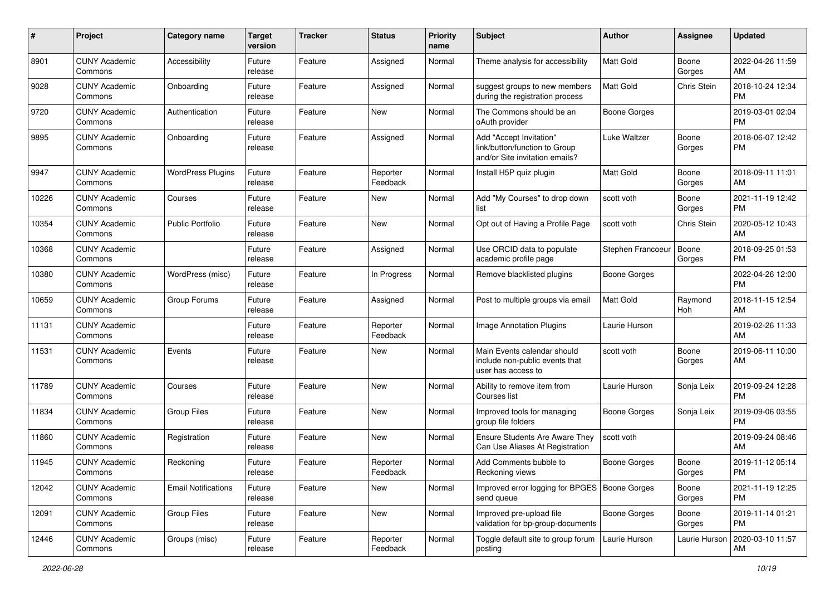| #     | Project                         | <b>Category name</b>       | <b>Target</b><br>version | <b>Tracker</b> | <b>Status</b>        | <b>Priority</b><br>name | <b>Subject</b>                                                                             | Author              | <b>Assignee</b> | <b>Updated</b>                |
|-------|---------------------------------|----------------------------|--------------------------|----------------|----------------------|-------------------------|--------------------------------------------------------------------------------------------|---------------------|-----------------|-------------------------------|
| 8901  | <b>CUNY Academic</b><br>Commons | Accessibility              | Future<br>release        | Feature        | Assigned             | Normal                  | Theme analysis for accessibility                                                           | <b>Matt Gold</b>    | Boone<br>Gorges | 2022-04-26 11:59<br>AM        |
| 9028  | <b>CUNY Academic</b><br>Commons | Onboarding                 | Future<br>release        | Feature        | Assigned             | Normal                  | suggest groups to new members<br>during the registration process                           | <b>Matt Gold</b>    | Chris Stein     | 2018-10-24 12:34<br><b>PM</b> |
| 9720  | <b>CUNY Academic</b><br>Commons | Authentication             | Future<br>release        | Feature        | New                  | Normal                  | The Commons should be an<br>oAuth provider                                                 | <b>Boone Gorges</b> |                 | 2019-03-01 02:04<br><b>PM</b> |
| 9895  | <b>CUNY Academic</b><br>Commons | Onboarding                 | Future<br>release        | Feature        | Assigned             | Normal                  | Add "Accept Invitation"<br>link/button/function to Group<br>and/or Site invitation emails? | Luke Waltzer        | Boone<br>Gorges | 2018-06-07 12:42<br><b>PM</b> |
| 9947  | <b>CUNY Academic</b><br>Commons | <b>WordPress Plugins</b>   | Future<br>release        | Feature        | Reporter<br>Feedback | Normal                  | Install H5P quiz plugin                                                                    | <b>Matt Gold</b>    | Boone<br>Gorges | 2018-09-11 11:01<br>AM        |
| 10226 | <b>CUNY Academic</b><br>Commons | Courses                    | Future<br>release        | Feature        | New                  | Normal                  | Add "My Courses" to drop down<br>list                                                      | scott voth          | Boone<br>Gorges | 2021-11-19 12:42<br><b>PM</b> |
| 10354 | <b>CUNY Academic</b><br>Commons | <b>Public Portfolio</b>    | Future<br>release        | Feature        | New                  | Normal                  | Opt out of Having a Profile Page                                                           | scott voth          | Chris Stein     | 2020-05-12 10:43<br>AM        |
| 10368 | <b>CUNY Academic</b><br>Commons |                            | Future<br>release        | Feature        | Assigned             | Normal                  | Use ORCID data to populate<br>academic profile page                                        | Stephen Francoeur   | Boone<br>Gorges | 2018-09-25 01:53<br>PM        |
| 10380 | <b>CUNY Academic</b><br>Commons | WordPress (misc)           | Future<br>release        | Feature        | In Progress          | Normal                  | Remove blacklisted plugins                                                                 | <b>Boone Gorges</b> |                 | 2022-04-26 12:00<br><b>PM</b> |
| 10659 | <b>CUNY Academic</b><br>Commons | Group Forums               | Future<br>release        | Feature        | Assigned             | Normal                  | Post to multiple groups via email                                                          | Matt Gold           | Raymond<br>Hoh  | 2018-11-15 12:54<br>AM        |
| 11131 | <b>CUNY Academic</b><br>Commons |                            | Future<br>release        | Feature        | Reporter<br>Feedback | Normal                  | <b>Image Annotation Plugins</b>                                                            | Laurie Hurson       |                 | 2019-02-26 11:33<br>AM        |
| 11531 | <b>CUNY Academic</b><br>Commons | Events                     | Future<br>release        | Feature        | New                  | Normal                  | Main Events calendar should<br>include non-public events that<br>user has access to        | scott voth          | Boone<br>Gorges | 2019-06-11 10:00<br>AM        |
| 11789 | <b>CUNY Academic</b><br>Commons | Courses                    | Future<br>release        | Feature        | <b>New</b>           | Normal                  | Ability to remove item from<br>Courses list                                                | Laurie Hurson       | Sonja Leix      | 2019-09-24 12:28<br><b>PM</b> |
| 11834 | <b>CUNY Academic</b><br>Commons | <b>Group Files</b>         | Future<br>release        | Feature        | <b>New</b>           | Normal                  | Improved tools for managing<br>group file folders                                          | Boone Gorges        | Sonja Leix      | 2019-09-06 03:55<br><b>PM</b> |
| 11860 | <b>CUNY Academic</b><br>Commons | Registration               | Future<br>release        | Feature        | New                  | Normal                  | Ensure Students Are Aware They<br>Can Use Aliases At Registration                          | scott voth          |                 | 2019-09-24 08:46<br>AM        |
| 11945 | <b>CUNY Academic</b><br>Commons | Reckoning                  | Future<br>release        | Feature        | Reporter<br>Feedback | Normal                  | Add Comments bubble to<br>Reckoning views                                                  | <b>Boone Gorges</b> | Boone<br>Gorges | 2019-11-12 05:14<br>PM        |
| 12042 | <b>CUNY Academic</b><br>Commons | <b>Email Notifications</b> | Future<br>release        | Feature        | New                  | Normal                  | Improved error logging for BPGES   Boone Gorges<br>send queue                              |                     | Boone<br>Gorges | 2021-11-19 12:25<br><b>PM</b> |
| 12091 | <b>CUNY Academic</b><br>Commons | Group Files                | Future<br>release        | Feature        | New                  | Normal                  | Improved pre-upload file<br>validation for bp-group-documents                              | <b>Boone Gorges</b> | Boone<br>Gorges | 2019-11-14 01:21<br><b>PM</b> |
| 12446 | <b>CUNY Academic</b><br>Commons | Groups (misc)              | Future<br>release        | Feature        | Reporter<br>Feedback | Normal                  | Toggle default site to group forum<br>posting                                              | Laurie Hurson       | Laurie Hurson   | 2020-03-10 11:57<br>AM        |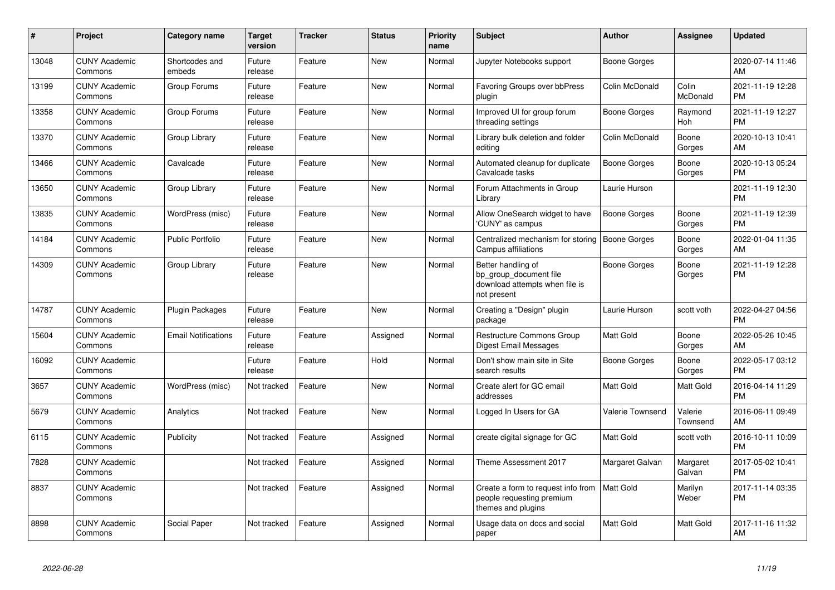| #     | Project                         | <b>Category name</b>       | Target<br>version | <b>Tracker</b> | <b>Status</b> | <b>Priority</b><br>name | <b>Subject</b>                                                                                | <b>Author</b>       | <b>Assignee</b>     | <b>Updated</b>                |
|-------|---------------------------------|----------------------------|-------------------|----------------|---------------|-------------------------|-----------------------------------------------------------------------------------------------|---------------------|---------------------|-------------------------------|
| 13048 | <b>CUNY Academic</b><br>Commons | Shortcodes and<br>embeds   | Future<br>release | Feature        | <b>New</b>    | Normal                  | Jupyter Notebooks support                                                                     | Boone Gorges        |                     | 2020-07-14 11:46<br>AM        |
| 13199 | <b>CUNY Academic</b><br>Commons | Group Forums               | Future<br>release | Feature        | <b>New</b>    | Normal                  | Favoring Groups over bbPress<br>plugin                                                        | Colin McDonald      | Colin<br>McDonald   | 2021-11-19 12:28<br><b>PM</b> |
| 13358 | <b>CUNY Academic</b><br>Commons | Group Forums               | Future<br>release | Feature        | New           | Normal                  | Improved UI for group forum<br>threading settings                                             | Boone Gorges        | Raymond<br>Hoh      | 2021-11-19 12:27<br><b>PM</b> |
| 13370 | <b>CUNY Academic</b><br>Commons | Group Library              | Future<br>release | Feature        | <b>New</b>    | Normal                  | Library bulk deletion and folder<br>editing                                                   | Colin McDonald      | Boone<br>Gorges     | 2020-10-13 10:41<br>AM        |
| 13466 | <b>CUNY Academic</b><br>Commons | Cavalcade                  | Future<br>release | Feature        | <b>New</b>    | Normal                  | Automated cleanup for duplicate<br>Cavalcade tasks                                            | <b>Boone Gorges</b> | Boone<br>Gorges     | 2020-10-13 05:24<br><b>PM</b> |
| 13650 | <b>CUNY Academic</b><br>Commons | Group Library              | Future<br>release | Feature        | <b>New</b>    | Normal                  | Forum Attachments in Group<br>Library                                                         | Laurie Hurson       |                     | 2021-11-19 12:30<br><b>PM</b> |
| 13835 | <b>CUNY Academic</b><br>Commons | WordPress (misc)           | Future<br>release | Feature        | <b>New</b>    | Normal                  | Allow OneSearch widget to have<br>'CUNY' as campus                                            | Boone Gorges        | Boone<br>Gorges     | 2021-11-19 12:39<br><b>PM</b> |
| 14184 | <b>CUNY Academic</b><br>Commons | <b>Public Portfolio</b>    | Future<br>release | Feature        | <b>New</b>    | Normal                  | Centralized mechanism for storing<br><b>Campus affiliations</b>                               | <b>Boone Gorges</b> | Boone<br>Gorges     | 2022-01-04 11:35<br>AM        |
| 14309 | <b>CUNY Academic</b><br>Commons | Group Library              | Future<br>release | Feature        | <b>New</b>    | Normal                  | Better handling of<br>bp group document file<br>download attempts when file is<br>not present | Boone Gorges        | Boone<br>Gorges     | 2021-11-19 12:28<br><b>PM</b> |
| 14787 | <b>CUNY Academic</b><br>Commons | <b>Plugin Packages</b>     | Future<br>release | Feature        | <b>New</b>    | Normal                  | Creating a "Design" plugin<br>package                                                         | Laurie Hurson       | scott voth          | 2022-04-27 04:56<br><b>PM</b> |
| 15604 | <b>CUNY Academic</b><br>Commons | <b>Email Notifications</b> | Future<br>release | Feature        | Assigned      | Normal                  | Restructure Commons Group<br>Digest Email Messages                                            | <b>Matt Gold</b>    | Boone<br>Gorges     | 2022-05-26 10:45<br>AM        |
| 16092 | <b>CUNY Academic</b><br>Commons |                            | Future<br>release | Feature        | Hold          | Normal                  | Don't show main site in Site<br>search results                                                | Boone Gorges        | Boone<br>Gorges     | 2022-05-17 03:12<br><b>PM</b> |
| 3657  | <b>CUNY Academic</b><br>Commons | WordPress (misc)           | Not tracked       | Feature        | New           | Normal                  | Create alert for GC email<br>addresses                                                        | Matt Gold           | <b>Matt Gold</b>    | 2016-04-14 11:29<br><b>PM</b> |
| 5679  | <b>CUNY Academic</b><br>Commons | Analytics                  | Not tracked       | Feature        | <b>New</b>    | Normal                  | Logged In Users for GA                                                                        | Valerie Townsend    | Valerie<br>Townsend | 2016-06-11 09:49<br>AM        |
| 6115  | <b>CUNY Academic</b><br>Commons | Publicity                  | Not tracked       | Feature        | Assigned      | Normal                  | create digital signage for GC                                                                 | Matt Gold           | scott voth          | 2016-10-11 10:09<br><b>PM</b> |
| 7828  | <b>CUNY Academic</b><br>Commons |                            | Not tracked       | Feature        | Assigned      | Normal                  | Theme Assessment 2017                                                                         | Margaret Galvan     | Margaret<br>Galvan  | 2017-05-02 10:41<br><b>PM</b> |
| 8837  | <b>CUNY Academic</b><br>Commons |                            | Not tracked       | Feature        | Assigned      | Normal                  | Create a form to request info from<br>people requesting premium<br>themes and plugins         | <b>Matt Gold</b>    | Marilyn<br>Weber    | 2017-11-14 03:35<br><b>PM</b> |
| 8898  | <b>CUNY Academic</b><br>Commons | Social Paper               | Not tracked       | Feature        | Assigned      | Normal                  | Usage data on docs and social<br>paper                                                        | Matt Gold           | Matt Gold           | 2017-11-16 11:32<br>AM        |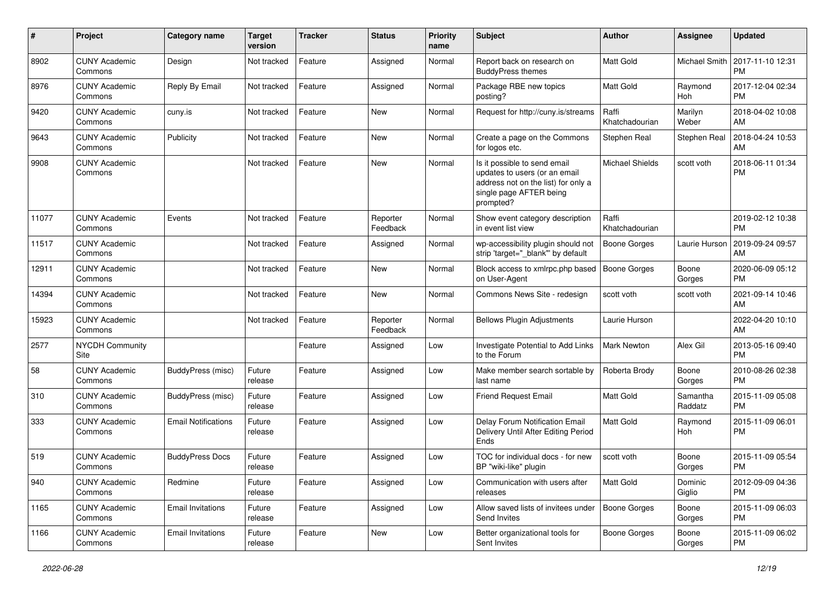| #     | Project                         | <b>Category name</b>       | <b>Target</b><br>version | <b>Tracker</b> | <b>Status</b>        | <b>Priority</b><br>name | <b>Subject</b>                                                                                                                               | Author                  | <b>Assignee</b>       | <b>Updated</b>                |
|-------|---------------------------------|----------------------------|--------------------------|----------------|----------------------|-------------------------|----------------------------------------------------------------------------------------------------------------------------------------------|-------------------------|-----------------------|-------------------------------|
| 8902  | <b>CUNY Academic</b><br>Commons | Design                     | Not tracked              | Feature        | Assigned             | Normal                  | Report back on research on<br><b>BuddyPress themes</b>                                                                                       | Matt Gold               | Michael Smith         | 2017-11-10 12:31<br>PМ        |
| 8976  | <b>CUNY Academic</b><br>Commons | Reply By Email             | Not tracked              | Feature        | Assigned             | Normal                  | Package RBE new topics<br>posting?                                                                                                           | Matt Gold               | Raymond<br><b>Hoh</b> | 2017-12-04 02:34<br><b>PM</b> |
| 9420  | <b>CUNY Academic</b><br>Commons | cuny.is                    | Not tracked              | Feature        | New                  | Normal                  | Request for http://cuny.is/streams                                                                                                           | Raffi<br>Khatchadourian | Marilyn<br>Weber      | 2018-04-02 10:08<br>AM        |
| 9643  | <b>CUNY Academic</b><br>Commons | Publicity                  | Not tracked              | Feature        | New                  | Normal                  | Create a page on the Commons<br>for logos etc.                                                                                               | Stephen Real            | Stephen Real          | 2018-04-24 10:53<br>AM        |
| 9908  | <b>CUNY Academic</b><br>Commons |                            | Not tracked              | Feature        | New                  | Normal                  | Is it possible to send email<br>updates to users (or an email<br>address not on the list) for only a<br>single page AFTER being<br>prompted? | <b>Michael Shields</b>  | scott voth            | 2018-06-11 01:34<br><b>PM</b> |
| 11077 | <b>CUNY Academic</b><br>Commons | Events                     | Not tracked              | Feature        | Reporter<br>Feedback | Normal                  | Show event category description<br>in event list view                                                                                        | Raffi<br>Khatchadourian |                       | 2019-02-12 10:38<br><b>PM</b> |
| 11517 | <b>CUNY Academic</b><br>Commons |                            | Not tracked              | Feature        | Assigned             | Normal                  | wp-accessibility plugin should not<br>strip 'target="_blank" by default                                                                      | Boone Gorges            | Laurie Hurson         | 2019-09-24 09:57<br>AM        |
| 12911 | <b>CUNY Academic</b><br>Commons |                            | Not tracked              | Feature        | New                  | Normal                  | Block access to xmlrpc.php based<br>on User-Agent                                                                                            | Boone Gorges            | Boone<br>Gorges       | 2020-06-09 05:12<br><b>PM</b> |
| 14394 | <b>CUNY Academic</b><br>Commons |                            | Not tracked              | Feature        | New                  | Normal                  | Commons News Site - redesign                                                                                                                 | scott voth              | scott voth            | 2021-09-14 10:46<br>AM        |
| 15923 | <b>CUNY Academic</b><br>Commons |                            | Not tracked              | Feature        | Reporter<br>Feedback | Normal                  | <b>Bellows Plugin Adjustments</b>                                                                                                            | Laurie Hurson           |                       | 2022-04-20 10:10<br>AM        |
| 2577  | <b>NYCDH Community</b><br>Site  |                            |                          | Feature        | Assigned             | Low                     | Investigate Potential to Add Links<br>to the Forum                                                                                           | Mark Newton             | Alex Gil              | 2013-05-16 09:40<br><b>PM</b> |
| 58    | <b>CUNY Academic</b><br>Commons | BuddyPress (misc)          | Future<br>release        | Feature        | Assigned             | Low                     | Make member search sortable by<br>last name                                                                                                  | Roberta Brody           | Boone<br>Gorges       | 2010-08-26 02:38<br><b>PM</b> |
| 310   | <b>CUNY Academic</b><br>Commons | BuddyPress (misc)          | Future<br>release        | Feature        | Assigned             | Low                     | <b>Friend Request Email</b>                                                                                                                  | Matt Gold               | Samantha<br>Raddatz   | 2015-11-09 05:08<br><b>PM</b> |
| 333   | <b>CUNY Academic</b><br>Commons | <b>Email Notifications</b> | Future<br>release        | Feature        | Assigned             | Low                     | Delay Forum Notification Email<br>Delivery Until After Editing Period<br>Ends                                                                | Matt Gold               | Raymond<br>Hoh        | 2015-11-09 06:01<br><b>PM</b> |
| 519   | <b>CUNY Academic</b><br>Commons | <b>BuddyPress Docs</b>     | Future<br>release        | Feature        | Assigned             | Low                     | TOC for individual docs - for new<br>BP "wiki-like" plugin                                                                                   | scott voth              | Boone<br>Gorges       | 2015-11-09 05:54<br><b>PM</b> |
| 940   | <b>CUNY Academic</b><br>Commons | Redmine                    | Future<br>release        | Feature        | Assigned             | Low                     | Communication with users after<br>releases                                                                                                   | Matt Gold               | Dominic<br>Giglio     | 2012-09-09 04:36<br><b>PM</b> |
| 1165  | <b>CUNY Academic</b><br>Commons | <b>Email Invitations</b>   | Future<br>release        | Feature        | Assigned             | Low                     | Allow saved lists of invitees under<br>Send Invites                                                                                          | Boone Gorges            | Boone<br>Gorges       | 2015-11-09 06:03<br><b>PM</b> |
| 1166  | <b>CUNY Academic</b><br>Commons | <b>Email Invitations</b>   | Future<br>release        | Feature        | New                  | Low                     | Better organizational tools for<br>Sent Invites                                                                                              | Boone Gorges            | Boone<br>Gorges       | 2015-11-09 06:02<br>PM        |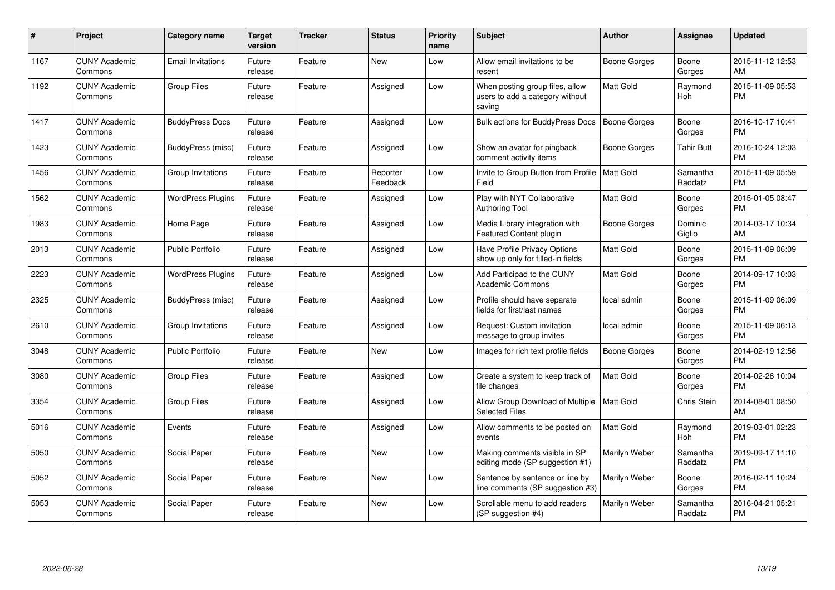| #    | Project                         | Category name            | <b>Target</b><br>version | <b>Tracker</b> | <b>Status</b>        | <b>Priority</b><br>name | <b>Subject</b>                                                               | <b>Author</b>       | <b>Assignee</b>     | <b>Updated</b>                |
|------|---------------------------------|--------------------------|--------------------------|----------------|----------------------|-------------------------|------------------------------------------------------------------------------|---------------------|---------------------|-------------------------------|
| 1167 | <b>CUNY Academic</b><br>Commons | <b>Email Invitations</b> | Future<br>release        | Feature        | <b>New</b>           | Low                     | Allow email invitations to be<br>resent                                      | <b>Boone Gorges</b> | Boone<br>Gorges     | 2015-11-12 12:53<br>AM        |
| 1192 | <b>CUNY Academic</b><br>Commons | <b>Group Files</b>       | Future<br>release        | Feature        | Assigned             | Low                     | When posting group files, allow<br>users to add a category without<br>saving | <b>Matt Gold</b>    | Raymond<br>Hoh      | 2015-11-09 05:53<br><b>PM</b> |
| 1417 | <b>CUNY Academic</b><br>Commons | <b>BuddyPress Docs</b>   | Future<br>release        | Feature        | Assigned             | Low                     | <b>Bulk actions for BuddyPress Docs</b>                                      | <b>Boone Gorges</b> | Boone<br>Gorges     | 2016-10-17 10:41<br><b>PM</b> |
| 1423 | <b>CUNY Academic</b><br>Commons | BuddyPress (misc)        | Future<br>release        | Feature        | Assigned             | Low                     | Show an avatar for pingback<br>comment activity items                        | Boone Gorges        | <b>Tahir Butt</b>   | 2016-10-24 12:03<br><b>PM</b> |
| 1456 | <b>CUNY Academic</b><br>Commons | Group Invitations        | Future<br>release        | Feature        | Reporter<br>Feedback | Low                     | Invite to Group Button from Profile   Matt Gold<br>Field                     |                     | Samantha<br>Raddatz | 2015-11-09 05:59<br><b>PM</b> |
| 1562 | <b>CUNY Academic</b><br>Commons | <b>WordPress Plugins</b> | Future<br>release        | Feature        | Assigned             | Low                     | Play with NYT Collaborative<br><b>Authoring Tool</b>                         | <b>Matt Gold</b>    | Boone<br>Gorges     | 2015-01-05 08:47<br><b>PM</b> |
| 1983 | <b>CUNY Academic</b><br>Commons | Home Page                | Future<br>release        | Feature        | Assigned             | Low                     | Media Library integration with<br><b>Featured Content plugin</b>             | Boone Gorges        | Dominic<br>Giglio   | 2014-03-17 10:34<br>AM        |
| 2013 | <b>CUNY Academic</b><br>Commons | <b>Public Portfolio</b>  | Future<br>release        | Feature        | Assigned             | Low                     | Have Profile Privacy Options<br>show up only for filled-in fields            | Matt Gold           | Boone<br>Gorges     | 2015-11-09 06:09<br><b>PM</b> |
| 2223 | <b>CUNY Academic</b><br>Commons | <b>WordPress Plugins</b> | Future<br>release        | Feature        | Assigned             | Low                     | Add Participad to the CUNY<br><b>Academic Commons</b>                        | Matt Gold           | Boone<br>Gorges     | 2014-09-17 10:03<br><b>PM</b> |
| 2325 | <b>CUNY Academic</b><br>Commons | <b>BuddyPress (misc)</b> | Future<br>release        | Feature        | Assigned             | Low                     | Profile should have separate<br>fields for first/last names                  | local admin         | Boone<br>Gorges     | 2015-11-09 06:09<br><b>PM</b> |
| 2610 | <b>CUNY Academic</b><br>Commons | Group Invitations        | Future<br>release        | Feature        | Assigned             | Low                     | Request: Custom invitation<br>message to group invites                       | local admin         | Boone<br>Gorges     | 2015-11-09 06:13<br><b>PM</b> |
| 3048 | <b>CUNY Academic</b><br>Commons | <b>Public Portfolio</b>  | Future<br>release        | Feature        | <b>New</b>           | Low                     | Images for rich text profile fields                                          | <b>Boone Gorges</b> | Boone<br>Gorges     | 2014-02-19 12:56<br><b>PM</b> |
| 3080 | <b>CUNY Academic</b><br>Commons | Group Files              | Future<br>release        | Feature        | Assigned             | Low                     | Create a system to keep track of<br>file changes                             | <b>Matt Gold</b>    | Boone<br>Gorges     | 2014-02-26 10:04<br><b>PM</b> |
| 3354 | <b>CUNY Academic</b><br>Commons | <b>Group Files</b>       | Future<br>release        | Feature        | Assigned             | Low                     | Allow Group Download of Multiple<br><b>Selected Files</b>                    | <b>Matt Gold</b>    | Chris Stein         | 2014-08-01 08:50<br>AM        |
| 5016 | <b>CUNY Academic</b><br>Commons | Events                   | Future<br>release        | Feature        | Assigned             | Low                     | Allow comments to be posted on<br>events                                     | <b>Matt Gold</b>    | Raymond<br>Hoh      | 2019-03-01 02:23<br><b>PM</b> |
| 5050 | <b>CUNY Academic</b><br>Commons | Social Paper             | Future<br>release        | Feature        | <b>New</b>           | Low                     | Making comments visible in SP<br>editing mode (SP suggestion #1)             | Marilyn Weber       | Samantha<br>Raddatz | 2019-09-17 11:10<br><b>PM</b> |
| 5052 | <b>CUNY Academic</b><br>Commons | Social Paper             | Future<br>release        | Feature        | <b>New</b>           | Low                     | Sentence by sentence or line by<br>line comments (SP suggestion #3)          | Marilyn Weber       | Boone<br>Gorges     | 2016-02-11 10:24<br><b>PM</b> |
| 5053 | <b>CUNY Academic</b><br>Commons | Social Paper             | Future<br>release        | Feature        | <b>New</b>           | Low                     | Scrollable menu to add readers<br>(SP suggestion #4)                         | Marilyn Weber       | Samantha<br>Raddatz | 2016-04-21 05:21<br><b>PM</b> |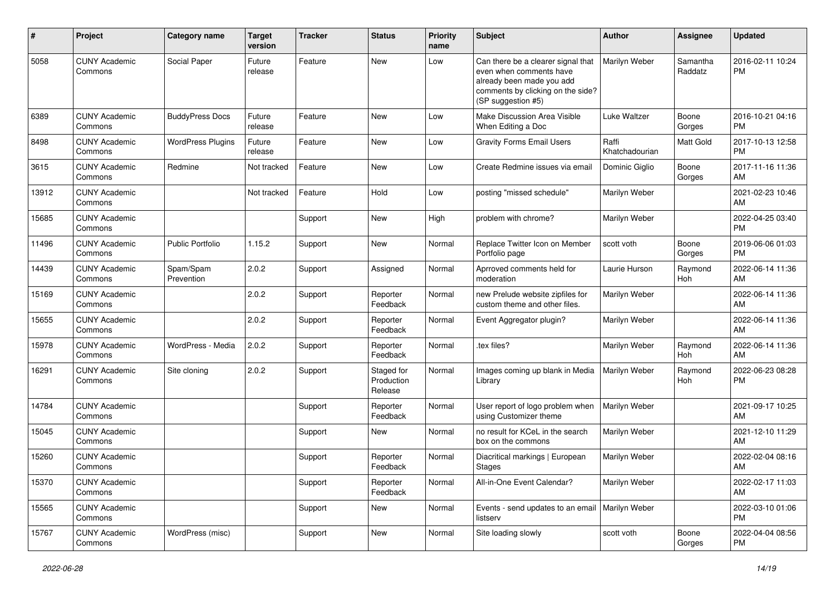| ∦     | Project                         | <b>Category name</b>     | <b>Target</b><br>version | <b>Tracker</b> | <b>Status</b>                       | <b>Priority</b><br>name | <b>Subject</b>                                                                                                                                        | Author                  | <b>Assignee</b>     | Updated                       |
|-------|---------------------------------|--------------------------|--------------------------|----------------|-------------------------------------|-------------------------|-------------------------------------------------------------------------------------------------------------------------------------------------------|-------------------------|---------------------|-------------------------------|
| 5058  | <b>CUNY Academic</b><br>Commons | Social Paper             | Future<br>release        | Feature        | New                                 | Low                     | Can there be a clearer signal that<br>even when comments have<br>already been made you add<br>comments by clicking on the side?<br>(SP suggestion #5) | Marilyn Weber           | Samantha<br>Raddatz | 2016-02-11 10:24<br><b>PM</b> |
| 6389  | <b>CUNY Academic</b><br>Commons | <b>BuddyPress Docs</b>   | Future<br>release        | Feature        | New                                 | Low                     | Make Discussion Area Visible<br>When Editing a Doc                                                                                                    | Luke Waltzer            | Boone<br>Gorges     | 2016-10-21 04:16<br><b>PM</b> |
| 8498  | <b>CUNY Academic</b><br>Commons | <b>WordPress Plugins</b> | Future<br>release        | Feature        | <b>New</b>                          | Low                     | <b>Gravity Forms Email Users</b>                                                                                                                      | Raffi<br>Khatchadourian | Matt Gold           | 2017-10-13 12:58<br><b>PM</b> |
| 3615  | <b>CUNY Academic</b><br>Commons | Redmine                  | Not tracked              | Feature        | <b>New</b>                          | Low                     | Create Redmine issues via email                                                                                                                       | Dominic Giglio          | Boone<br>Gorges     | 2017-11-16 11:36<br>AM        |
| 13912 | <b>CUNY Academic</b><br>Commons |                          | Not tracked              | Feature        | Hold                                | Low                     | posting "missed schedule"                                                                                                                             | Marilyn Weber           |                     | 2021-02-23 10:46<br>AM        |
| 15685 | <b>CUNY Academic</b><br>Commons |                          |                          | Support        | New                                 | High                    | problem with chrome?                                                                                                                                  | Marilyn Weber           |                     | 2022-04-25 03:40<br><b>PM</b> |
| 11496 | <b>CUNY Academic</b><br>Commons | <b>Public Portfolio</b>  | 1.15.2                   | Support        | New                                 | Normal                  | Replace Twitter Icon on Member<br>Portfolio page                                                                                                      | scott voth              | Boone<br>Gorges     | 2019-06-06 01:03<br><b>PM</b> |
| 14439 | <b>CUNY Academic</b><br>Commons | Spam/Spam<br>Prevention  | 2.0.2                    | Support        | Assigned                            | Normal                  | Aprroved comments held for<br>moderation                                                                                                              | Laurie Hurson           | Raymond<br>Hoh      | 2022-06-14 11:36<br>AM        |
| 15169 | <b>CUNY Academic</b><br>Commons |                          | 2.0.2                    | Support        | Reporter<br>Feedback                | Normal                  | new Prelude website zipfiles for<br>custom theme and other files.                                                                                     | Marilyn Weber           |                     | 2022-06-14 11:36<br>AM        |
| 15655 | <b>CUNY Academic</b><br>Commons |                          | 2.0.2                    | Support        | Reporter<br>Feedback                | Normal                  | Event Aggregator plugin?                                                                                                                              | Marilyn Weber           |                     | 2022-06-14 11:36<br>AM        |
| 15978 | <b>CUNY Academic</b><br>Commons | WordPress - Media        | 2.0.2                    | Support        | Reporter<br>Feedback                | Normal                  | tex files?                                                                                                                                            | Marilyn Weber           | Raymond<br>Hoh      | 2022-06-14 11:36<br>AM        |
| 16291 | <b>CUNY Academic</b><br>Commons | Site cloning             | 2.0.2                    | Support        | Staged for<br>Production<br>Release | Normal                  | Images coming up blank in Media<br>Library                                                                                                            | Marilyn Weber           | Raymond<br>Hoh      | 2022-06-23 08:28<br><b>PM</b> |
| 14784 | <b>CUNY Academic</b><br>Commons |                          |                          | Support        | Reporter<br>Feedback                | Normal                  | User report of logo problem when<br>using Customizer theme                                                                                            | Marilyn Weber           |                     | 2021-09-17 10:25<br>AM        |
| 15045 | <b>CUNY Academic</b><br>Commons |                          |                          | Support        | New                                 | Normal                  | no result for KCeL in the search<br>box on the commons                                                                                                | Marilyn Weber           |                     | 2021-12-10 11:29<br>AM        |
| 15260 | <b>CUNY Academic</b><br>Commons |                          |                          | Support        | Reporter<br>Feedback                | Normal                  | Diacritical markings   European<br>Stages                                                                                                             | Marilyn Weber           |                     | 2022-02-04 08:16<br>AM        |
| 15370 | <b>CUNY Academic</b><br>Commons |                          |                          | Support        | Reporter<br>Feedback                | Normal                  | All-in-One Event Calendar?                                                                                                                            | Marilyn Weber           |                     | 2022-02-17 11:03<br>AM        |
| 15565 | <b>CUNY Academic</b><br>Commons |                          |                          | Support        | New                                 | Normal                  | Events - send updates to an email<br>listserv                                                                                                         | Marilyn Weber           |                     | 2022-03-10 01:06<br>PM        |
| 15767 | <b>CUNY Academic</b><br>Commons | WordPress (misc)         |                          | Support        | New                                 | Normal                  | Site loading slowly                                                                                                                                   | scott voth              | Boone<br>Gorges     | 2022-04-04 08:56<br>PM        |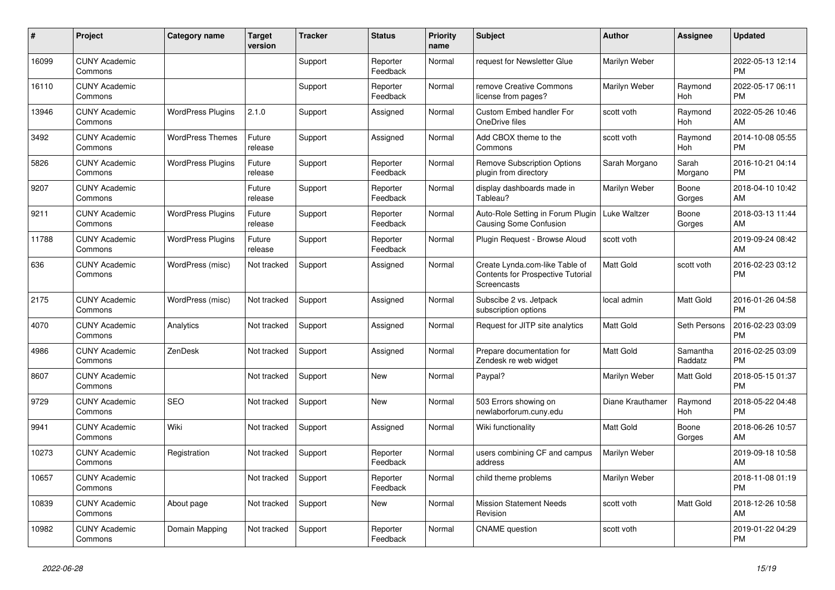| #     | Project                         | Category name            | <b>Target</b><br>version | <b>Tracker</b> | <b>Status</b>        | <b>Priority</b><br>name | <b>Subject</b>                                                                            | Author           | <b>Assignee</b>     | <b>Updated</b>                |
|-------|---------------------------------|--------------------------|--------------------------|----------------|----------------------|-------------------------|-------------------------------------------------------------------------------------------|------------------|---------------------|-------------------------------|
| 16099 | <b>CUNY Academic</b><br>Commons |                          |                          | Support        | Reporter<br>Feedback | Normal                  | request for Newsletter Glue                                                               | Marilyn Weber    |                     | 2022-05-13 12:14<br>PM        |
| 16110 | <b>CUNY Academic</b><br>Commons |                          |                          | Support        | Reporter<br>Feedback | Normal                  | remove Creative Commons<br>license from pages?                                            | Marilyn Weber    | Raymond<br>Hoh      | 2022-05-17 06:11<br>PM        |
| 13946 | <b>CUNY Academic</b><br>Commons | <b>WordPress Plugins</b> | 2.1.0                    | Support        | Assigned             | Normal                  | <b>Custom Embed handler For</b><br>OneDrive files                                         | scott voth       | Raymond<br>Hoh      | 2022-05-26 10:46<br>AM        |
| 3492  | <b>CUNY Academic</b><br>Commons | <b>WordPress Themes</b>  | Future<br>release        | Support        | Assigned             | Normal                  | Add CBOX theme to the<br>Commons                                                          | scott voth       | Raymond<br>Hoh      | 2014-10-08 05:55<br><b>PM</b> |
| 5826  | <b>CUNY Academic</b><br>Commons | <b>WordPress Plugins</b> | Future<br>release        | Support        | Reporter<br>Feedback | Normal                  | <b>Remove Subscription Options</b><br>plugin from directory                               | Sarah Morgano    | Sarah<br>Morgano    | 2016-10-21 04:14<br>PM        |
| 9207  | <b>CUNY Academic</b><br>Commons |                          | Future<br>release        | Support        | Reporter<br>Feedback | Normal                  | display dashboards made in<br>Tableau?                                                    | Marilyn Weber    | Boone<br>Gorges     | 2018-04-10 10:42<br>AM        |
| 9211  | <b>CUNY Academic</b><br>Commons | <b>WordPress Plugins</b> | Future<br>release        | Support        | Reporter<br>Feedback | Normal                  | Auto-Role Setting in Forum Plugin<br>Causing Some Confusion                               | Luke Waltzer     | Boone<br>Gorges     | 2018-03-13 11:44<br>AM        |
| 11788 | <b>CUNY Academic</b><br>Commons | <b>WordPress Plugins</b> | Future<br>release        | Support        | Reporter<br>Feedback | Normal                  | Plugin Reguest - Browse Aloud                                                             | scott voth       |                     | 2019-09-24 08:42<br>AM        |
| 636   | <b>CUNY Academic</b><br>Commons | WordPress (misc)         | Not tracked              | Support        | Assigned             | Normal                  | Create Lynda.com-like Table of<br><b>Contents for Prospective Tutorial</b><br>Screencasts | Matt Gold        | scott voth          | 2016-02-23 03:12<br>PM        |
| 2175  | <b>CUNY Academic</b><br>Commons | WordPress (misc)         | Not tracked              | Support        | Assigned             | Normal                  | Subscibe 2 vs. Jetpack<br>subscription options                                            | local admin      | Matt Gold           | 2016-01-26 04:58<br><b>PM</b> |
| 4070  | <b>CUNY Academic</b><br>Commons | Analytics                | Not tracked              | Support        | Assigned             | Normal                  | Request for JITP site analytics                                                           | Matt Gold        | Seth Persons        | 2016-02-23 03:09<br><b>PM</b> |
| 4986  | <b>CUNY Academic</b><br>Commons | ZenDesk                  | Not tracked              | Support        | Assigned             | Normal                  | Prepare documentation for<br>Zendesk re web widget                                        | Matt Gold        | Samantha<br>Raddatz | 2016-02-25 03:09<br><b>PM</b> |
| 8607  | <b>CUNY Academic</b><br>Commons |                          | Not tracked              | Support        | New                  | Normal                  | Paypal?                                                                                   | Marilyn Weber    | <b>Matt Gold</b>    | 2018-05-15 01:37<br><b>PM</b> |
| 9729  | <b>CUNY Academic</b><br>Commons | <b>SEO</b>               | Not tracked              | Support        | <b>New</b>           | Normal                  | 503 Errors showing on<br>newlaborforum.cuny.edu                                           | Diane Krauthamer | Raymond<br>Hoh      | 2018-05-22 04:48<br><b>PM</b> |
| 9941  | <b>CUNY Academic</b><br>Commons | Wiki                     | Not tracked              | Support        | Assigned             | Normal                  | Wiki functionality                                                                        | Matt Gold        | Boone<br>Gorges     | 2018-06-26 10:57<br>AM        |
| 10273 | <b>CUNY Academic</b><br>Commons | Registration             | Not tracked              | Support        | Reporter<br>Feedback | Normal                  | users combining CF and campus<br>address                                                  | Marilyn Weber    |                     | 2019-09-18 10:58<br>AM        |
| 10657 | <b>CUNY Academic</b><br>Commons |                          | Not tracked              | Support        | Reporter<br>Feedback | Normal                  | child theme problems                                                                      | Marilyn Weber    |                     | 2018-11-08 01:19<br><b>PM</b> |
| 10839 | <b>CUNY Academic</b><br>Commons | About page               | Not tracked              | Support        | <b>New</b>           | Normal                  | <b>Mission Statement Needs</b><br>Revision                                                | scott voth       | Matt Gold           | 2018-12-26 10:58<br>AM        |
| 10982 | <b>CUNY Academic</b><br>Commons | Domain Mapping           | Not tracked              | Support        | Reporter<br>Feedback | Normal                  | <b>CNAME</b> question                                                                     | scott voth       |                     | 2019-01-22 04:29<br><b>PM</b> |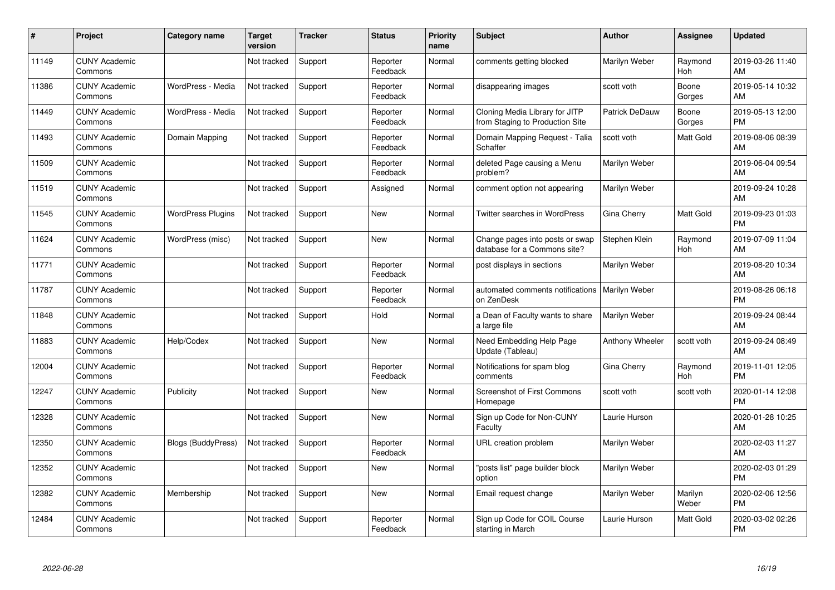| #     | Project                         | <b>Category name</b>      | Target<br>version | <b>Tracker</b> | <b>Status</b>        | <b>Priority</b><br>name | <b>Subject</b>                                                    | <b>Author</b>   | <b>Assignee</b>  | <b>Updated</b>                |
|-------|---------------------------------|---------------------------|-------------------|----------------|----------------------|-------------------------|-------------------------------------------------------------------|-----------------|------------------|-------------------------------|
| 11149 | <b>CUNY Academic</b><br>Commons |                           | Not tracked       | Support        | Reporter<br>Feedback | Normal                  | comments getting blocked                                          | Marilyn Weber   | Raymond<br>Hoh   | 2019-03-26 11:40<br>AM        |
| 11386 | <b>CUNY Academic</b><br>Commons | WordPress - Media         | Not tracked       | Support        | Reporter<br>Feedback | Normal                  | disappearing images                                               | scott voth      | Boone<br>Gorges  | 2019-05-14 10:32<br>AM        |
| 11449 | <b>CUNY Academic</b><br>Commons | WordPress - Media         | Not tracked       | Support        | Reporter<br>Feedback | Normal                  | Cloning Media Library for JITP<br>from Staging to Production Site | Patrick DeDauw  | Boone<br>Gorges  | 2019-05-13 12:00<br><b>PM</b> |
| 11493 | <b>CUNY Academic</b><br>Commons | Domain Mapping            | Not tracked       | Support        | Reporter<br>Feedback | Normal                  | Domain Mapping Request - Talia<br>Schaffer                        | scott voth      | Matt Gold        | 2019-08-06 08:39<br>AM        |
| 11509 | <b>CUNY Academic</b><br>Commons |                           | Not tracked       | Support        | Reporter<br>Feedback | Normal                  | deleted Page causing a Menu<br>problem?                           | Marilyn Weber   |                  | 2019-06-04 09:54<br>AM        |
| 11519 | <b>CUNY Academic</b><br>Commons |                           | Not tracked       | Support        | Assigned             | Normal                  | comment option not appearing                                      | Marilyn Weber   |                  | 2019-09-24 10:28<br>AM        |
| 11545 | <b>CUNY Academic</b><br>Commons | <b>WordPress Plugins</b>  | Not tracked       | Support        | <b>New</b>           | Normal                  | <b>Twitter searches in WordPress</b>                              | Gina Cherry     | <b>Matt Gold</b> | 2019-09-23 01:03<br><b>PM</b> |
| 11624 | <b>CUNY Academic</b><br>Commons | WordPress (misc)          | Not tracked       | Support        | <b>New</b>           | Normal                  | Change pages into posts or swap<br>database for a Commons site?   | Stephen Klein   | Raymond<br>Hoh   | 2019-07-09 11:04<br>AM        |
| 11771 | <b>CUNY Academic</b><br>Commons |                           | Not tracked       | Support        | Reporter<br>Feedback | Normal                  | post displays in sections                                         | Marilyn Weber   |                  | 2019-08-20 10:34<br>AM        |
| 11787 | <b>CUNY Academic</b><br>Commons |                           | Not tracked       | Support        | Reporter<br>Feedback | Normal                  | automated comments notifications<br>on ZenDesk                    | Marilyn Weber   |                  | 2019-08-26 06:18<br><b>PM</b> |
| 11848 | <b>CUNY Academic</b><br>Commons |                           | Not tracked       | Support        | Hold                 | Normal                  | a Dean of Faculty wants to share<br>a large file                  | Marilyn Weber   |                  | 2019-09-24 08:44<br>AM        |
| 11883 | <b>CUNY Academic</b><br>Commons | Help/Codex                | Not tracked       | Support        | <b>New</b>           | Normal                  | Need Embedding Help Page<br>Update (Tableau)                      | Anthony Wheeler | scott voth       | 2019-09-24 08:49<br>AM        |
| 12004 | <b>CUNY Academic</b><br>Commons |                           | Not tracked       | Support        | Reporter<br>Feedback | Normal                  | Notifications for spam blog<br>comments                           | Gina Cherry     | Raymond<br>Hoh   | 2019-11-01 12:05<br><b>PM</b> |
| 12247 | <b>CUNY Academic</b><br>Commons | Publicity                 | Not tracked       | Support        | <b>New</b>           | Normal                  | <b>Screenshot of First Commons</b><br>Homepage                    | scott voth      | scott voth       | 2020-01-14 12:08<br><b>PM</b> |
| 12328 | <b>CUNY Academic</b><br>Commons |                           | Not tracked       | Support        | New                  | Normal                  | Sign up Code for Non-CUNY<br>Faculty                              | Laurie Hurson   |                  | 2020-01-28 10:25<br>AM        |
| 12350 | <b>CUNY Academic</b><br>Commons | <b>Blogs (BuddyPress)</b> | Not tracked       | Support        | Reporter<br>Feedback | Normal                  | <b>URL</b> creation problem                                       | Marilyn Weber   |                  | 2020-02-03 11:27<br>AM        |
| 12352 | <b>CUNY Academic</b><br>Commons |                           | Not tracked       | Support        | New                  | Normal                  | "posts list" page builder block<br>option                         | Marilyn Weber   |                  | 2020-02-03 01:29<br><b>PM</b> |
| 12382 | <b>CUNY Academic</b><br>Commons | Membership                | Not tracked       | Support        | <b>New</b>           | Normal                  | Email request change                                              | Marilyn Weber   | Marilyn<br>Weber | 2020-02-06 12:56<br><b>PM</b> |
| 12484 | <b>CUNY Academic</b><br>Commons |                           | Not tracked       | Support        | Reporter<br>Feedback | Normal                  | Sign up Code for COIL Course<br>starting in March                 | Laurie Hurson   | Matt Gold        | 2020-03-02 02:26<br>PM        |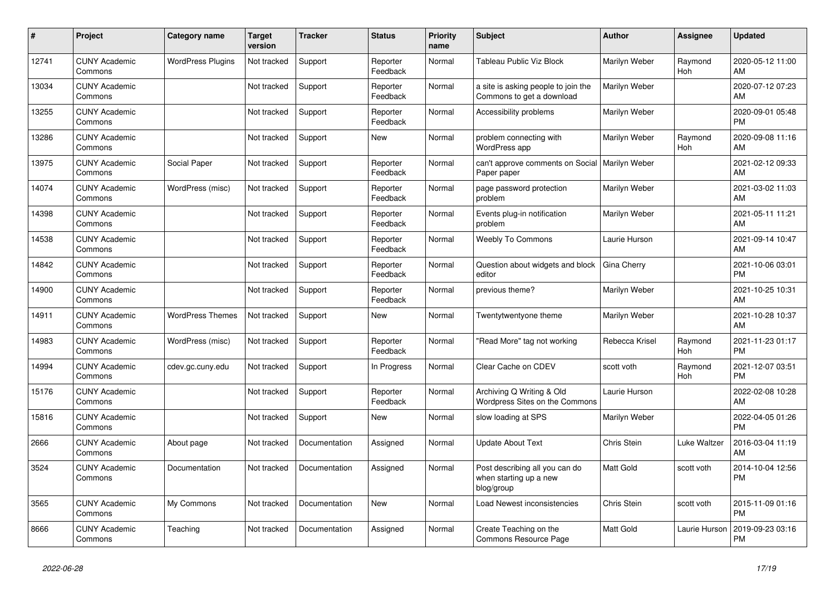| #     | Project                         | Category name            | <b>Target</b><br>version | <b>Tracker</b> | <b>Status</b>        | Priority<br>name | <b>Subject</b>                                                         | <b>Author</b>  | Assignee              | <b>Updated</b>                |
|-------|---------------------------------|--------------------------|--------------------------|----------------|----------------------|------------------|------------------------------------------------------------------------|----------------|-----------------------|-------------------------------|
| 12741 | <b>CUNY Academic</b><br>Commons | <b>WordPress Plugins</b> | Not tracked              | Support        | Reporter<br>Feedback | Normal           | <b>Tableau Public Viz Block</b>                                        | Marilyn Weber  | Raymond<br>Hoh        | 2020-05-12 11:00<br>AM        |
| 13034 | <b>CUNY Academic</b><br>Commons |                          | Not tracked              | Support        | Reporter<br>Feedback | Normal           | a site is asking people to join the<br>Commons to get a download       | Marilyn Weber  |                       | 2020-07-12 07:23<br>AM        |
| 13255 | <b>CUNY Academic</b><br>Commons |                          | Not tracked              | Support        | Reporter<br>Feedback | Normal           | Accessibility problems                                                 | Marilyn Weber  |                       | 2020-09-01 05:48<br><b>PM</b> |
| 13286 | <b>CUNY Academic</b><br>Commons |                          | Not tracked              | Support        | New                  | Normal           | problem connecting with<br>WordPress app                               | Marilyn Weber  | Raymond<br><b>Hoh</b> | 2020-09-08 11:16<br>AM        |
| 13975 | <b>CUNY Academic</b><br>Commons | Social Paper             | Not tracked              | Support        | Reporter<br>Feedback | Normal           | can't approve comments on Social   Marilyn Weber<br>Paper paper        |                |                       | 2021-02-12 09:33<br>AM        |
| 14074 | <b>CUNY Academic</b><br>Commons | WordPress (misc)         | Not tracked              | Support        | Reporter<br>Feedback | Normal           | page password protection<br>problem                                    | Marilyn Weber  |                       | 2021-03-02 11:03<br>AM        |
| 14398 | <b>CUNY Academic</b><br>Commons |                          | Not tracked              | Support        | Reporter<br>Feedback | Normal           | Events plug-in notification<br>problem                                 | Marilyn Weber  |                       | 2021-05-11 11:21<br>AM        |
| 14538 | <b>CUNY Academic</b><br>Commons |                          | Not tracked              | Support        | Reporter<br>Feedback | Normal           | <b>Weebly To Commons</b>                                               | Laurie Hurson  |                       | 2021-09-14 10:47<br>AM        |
| 14842 | <b>CUNY Academic</b><br>Commons |                          | Not tracked              | Support        | Reporter<br>Feedback | Normal           | Question about widgets and block<br>editor                             | Gina Cherry    |                       | 2021-10-06 03:01<br><b>PM</b> |
| 14900 | <b>CUNY Academic</b><br>Commons |                          | Not tracked              | Support        | Reporter<br>Feedback | Normal           | previous theme?                                                        | Marilyn Weber  |                       | 2021-10-25 10:31<br>AM        |
| 14911 | <b>CUNY Academic</b><br>Commons | <b>WordPress Themes</b>  | Not tracked              | Support        | <b>New</b>           | Normal           | Twentytwentyone theme                                                  | Marilyn Weber  |                       | 2021-10-28 10:37<br>AM        |
| 14983 | <b>CUNY Academic</b><br>Commons | WordPress (misc)         | Not tracked              | Support        | Reporter<br>Feedback | Normal           | "Read More" tag not working                                            | Rebecca Krisel | Raymond<br><b>Hoh</b> | 2021-11-23 01:17<br><b>PM</b> |
| 14994 | <b>CUNY Academic</b><br>Commons | cdev.gc.cuny.edu         | Not tracked              | Support        | In Progress          | Normal           | Clear Cache on CDEV                                                    | scott voth     | Raymond<br><b>Hoh</b> | 2021-12-07 03:51<br><b>PM</b> |
| 15176 | <b>CUNY Academic</b><br>Commons |                          | Not tracked              | Support        | Reporter<br>Feedback | Normal           | Archiving Q Writing & Old<br>Wordpress Sites on the Commons            | Laurie Hurson  |                       | 2022-02-08 10:28<br>AM        |
| 15816 | <b>CUNY Academic</b><br>Commons |                          | Not tracked              | Support        | <b>New</b>           | Normal           | slow loading at SPS                                                    | Marilyn Weber  |                       | 2022-04-05 01:26<br><b>PM</b> |
| 2666  | <b>CUNY Academic</b><br>Commons | About page               | Not tracked              | Documentation  | Assigned             | Normal           | <b>Update About Text</b>                                               | Chris Stein    | Luke Waltzer          | 2016-03-04 11:19<br>AM        |
| 3524  | <b>CUNY Academic</b><br>Commons | Documentation            | Not tracked              | Documentation  | Assigned             | Normal           | Post describing all you can do<br>when starting up a new<br>blog/group | Matt Gold      | scott voth            | 2014-10-04 12:56<br><b>PM</b> |
| 3565  | <b>CUNY Academic</b><br>Commons | My Commons               | Not tracked              | Documentation  | <b>New</b>           | Normal           | Load Newest inconsistencies                                            | Chris Stein    | scott voth            | 2015-11-09 01:16<br><b>PM</b> |
| 8666  | <b>CUNY Academic</b><br>Commons | Teaching                 | Not tracked              | Documentation  | Assigned             | Normal           | Create Teaching on the<br>Commons Resource Page                        | Matt Gold      | Laurie Hurson         | 2019-09-23 03:16<br><b>PM</b> |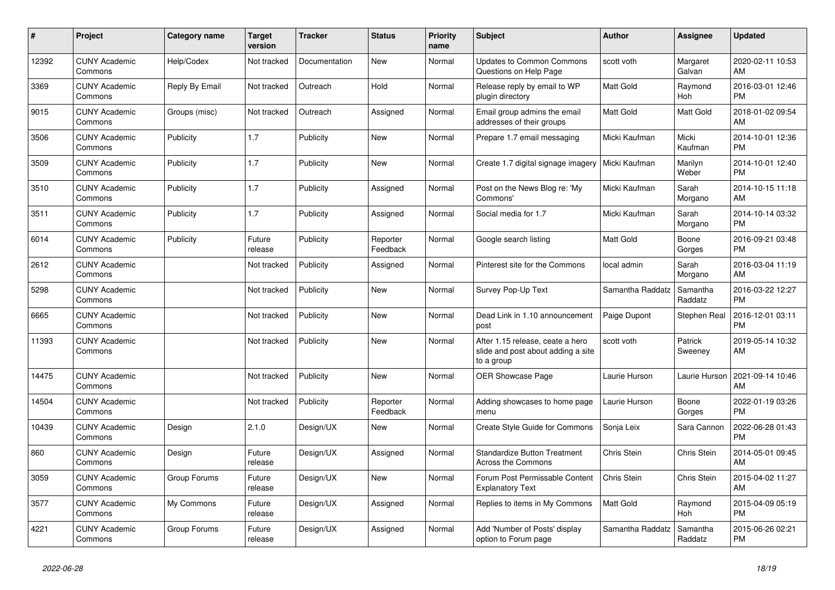| $\pmb{\#}$ | Project                         | Category name  | Target<br>version | <b>Tracker</b> | <b>Status</b>        | <b>Priority</b><br>name | <b>Subject</b>                                                                       | <b>Author</b>    | <b>Assignee</b>     | <b>Updated</b>                |
|------------|---------------------------------|----------------|-------------------|----------------|----------------------|-------------------------|--------------------------------------------------------------------------------------|------------------|---------------------|-------------------------------|
| 12392      | <b>CUNY Academic</b><br>Commons | Help/Codex     | Not tracked       | Documentation  | <b>New</b>           | Normal                  | <b>Updates to Common Commons</b><br>Questions on Help Page                           | scott voth       | Margaret<br>Galvan  | 2020-02-11 10:53<br>AM        |
| 3369       | <b>CUNY Academic</b><br>Commons | Reply By Email | Not tracked       | Outreach       | Hold                 | Normal                  | Release reply by email to WP<br>plugin directory                                     | <b>Matt Gold</b> | Raymond<br>Hoh      | 2016-03-01 12:46<br><b>PM</b> |
| 9015       | <b>CUNY Academic</b><br>Commons | Groups (misc)  | Not tracked       | Outreach       | Assigned             | Normal                  | Email group admins the email<br>addresses of their groups                            | Matt Gold        | Matt Gold           | 2018-01-02 09:54<br>AM        |
| 3506       | <b>CUNY Academic</b><br>Commons | Publicity      | 1.7               | Publicity      | <b>New</b>           | Normal                  | Prepare 1.7 email messaging                                                          | Micki Kaufman    | Micki<br>Kaufman    | 2014-10-01 12:36<br><b>PM</b> |
| 3509       | <b>CUNY Academic</b><br>Commons | Publicity      | 1.7               | Publicity      | <b>New</b>           | Normal                  | Create 1.7 digital signage imagery                                                   | Micki Kaufman    | Marilyn<br>Weber    | 2014-10-01 12:40<br><b>PM</b> |
| 3510       | <b>CUNY Academic</b><br>Commons | Publicity      | 1.7               | Publicity      | Assigned             | Normal                  | Post on the News Blog re: 'My<br>Commons'                                            | Micki Kaufman    | Sarah<br>Morgano    | 2014-10-15 11:18<br>AM        |
| 3511       | <b>CUNY Academic</b><br>Commons | Publicity      | 1.7               | Publicity      | Assigned             | Normal                  | Social media for 1.7                                                                 | Micki Kaufman    | Sarah<br>Morgano    | 2014-10-14 03:32<br><b>PM</b> |
| 6014       | <b>CUNY Academic</b><br>Commons | Publicity      | Future<br>release | Publicity      | Reporter<br>Feedback | Normal                  | Google search listing                                                                | Matt Gold        | Boone<br>Gorges     | 2016-09-21 03:48<br><b>PM</b> |
| 2612       | <b>CUNY Academic</b><br>Commons |                | Not tracked       | Publicity      | Assigned             | Normal                  | Pinterest site for the Commons                                                       | local admin      | Sarah<br>Morgano    | 2016-03-04 11:19<br>AM        |
| 5298       | <b>CUNY Academic</b><br>Commons |                | Not tracked       | Publicity      | <b>New</b>           | Normal                  | Survey Pop-Up Text                                                                   | Samantha Raddatz | Samantha<br>Raddatz | 2016-03-22 12:27<br><b>PM</b> |
| 6665       | <b>CUNY Academic</b><br>Commons |                | Not tracked       | Publicity      | <b>New</b>           | Normal                  | Dead Link in 1.10 announcement<br>post                                               | Paige Dupont     | Stephen Real        | 2016-12-01 03:11<br><b>PM</b> |
| 11393      | <b>CUNY Academic</b><br>Commons |                | Not tracked       | Publicity      | <b>New</b>           | Normal                  | After 1.15 release, ceate a hero<br>slide and post about adding a site<br>to a group | scott voth       | Patrick<br>Sweeney  | 2019-05-14 10:32<br>AM        |
| 14475      | <b>CUNY Academic</b><br>Commons |                | Not tracked       | Publicity      | <b>New</b>           | Normal                  | OER Showcase Page                                                                    | Laurie Hurson    | Laurie Hurson       | 2021-09-14 10:46<br>AM        |
| 14504      | <b>CUNY Academic</b><br>Commons |                | Not tracked       | Publicity      | Reporter<br>Feedback | Normal                  | Adding showcases to home page<br>menu                                                | Laurie Hurson    | Boone<br>Gorges     | 2022-01-19 03:26<br><b>PM</b> |
| 10439      | <b>CUNY Academic</b><br>Commons | Design         | 2.1.0             | Design/UX      | <b>New</b>           | Normal                  | Create Style Guide for Commons                                                       | Sonja Leix       | Sara Cannon         | 2022-06-28 01:43<br><b>PM</b> |
| 860        | <b>CUNY Academic</b><br>Commons | Design         | Future<br>release | Design/UX      | Assigned             | Normal                  | <b>Standardize Button Treatment</b><br>Across the Commons                            | Chris Stein      | Chris Stein         | 2014-05-01 09:45<br>AM        |
| 3059       | <b>CUNY Academic</b><br>Commons | Group Forums   | Future<br>release | Design/UX      | <b>New</b>           | Normal                  | Forum Post Permissable Content<br><b>Explanatory Text</b>                            | Chris Stein      | Chris Stein         | 2015-04-02 11:27<br>AM        |
| 3577       | <b>CUNY Academic</b><br>Commons | My Commons     | Future<br>release | Design/UX      | Assigned             | Normal                  | Replies to items in My Commons                                                       | <b>Matt Gold</b> | Raymond<br>Hoh      | 2015-04-09 05:19<br><b>PM</b> |
| 4221       | <b>CUNY Academic</b><br>Commons | Group Forums   | Future<br>release | Design/UX      | Assigned             | Normal                  | Add 'Number of Posts' display<br>option to Forum page                                | Samantha Raddatz | Samantha<br>Raddatz | 2015-06-26 02:21<br><b>PM</b> |